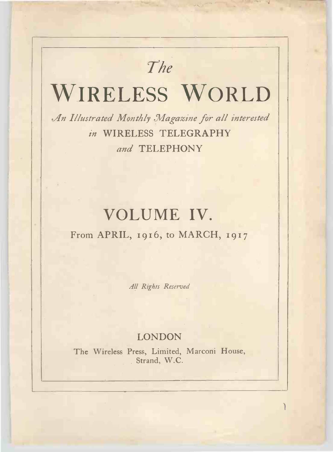The

# WIRELESS WORLD

An Illustrated Monthly Magazine for all interested in WIRELESS TELEGRAPHY and TELEPHONY

## VOLUME IV.

### From APRIL, 1916, to MARCH, 1917

All Rights Reserved

### LONDON

The Wireless Press, Limited, Marconi House, Strand, W.C.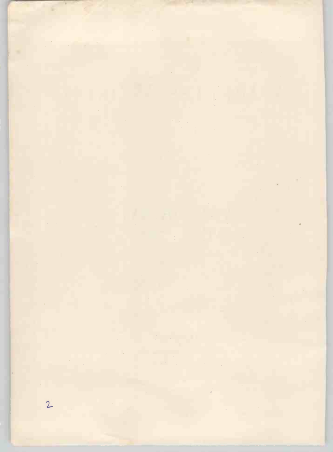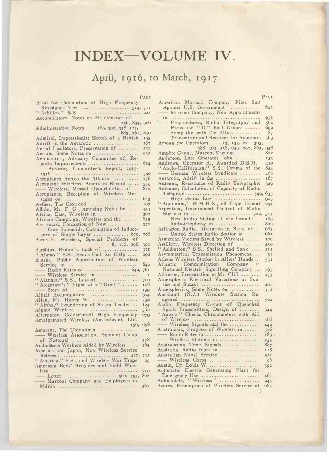## INDEX-VOLUME IV.

### April, 1916, to March, 1917

PAGE

| ABAC for Calculation of High Frequency     |                | Americ                             |
|--------------------------------------------|----------------|------------------------------------|
|                                            |                | Again                              |
|                                            | 224            | $-$ M                              |
| Accumulators, Notes on Maintenance of      |                | in                                 |
| 756, 834,                                  | 0 <sub>0</sub> |                                    |
| Administrative Notes  189, 302, 358, 527,  |                | $=$ $\frac{P}{P}$                  |
| 683, 761,                                  | 840            |                                    |
| Admiral, Impressionist Sketch of a British | 193            | $\frac{S_3}{T_1}$                  |
| Adrift in the Antarctic                    | 167            | Among                              |
| Aerial Insulators, Preservation of         | 522            |                                    |
| Aerials, Some Notes on                     | 935            | Ampère                             |
| Aeronautics, Advisory Committee of, Re-    |                | Anders                             |
|                                            | 614            | Andrew                             |
| - Advisory Committee's Report, 1915-       |                | " Angle                            |
|                                            | 540            | — G                                |
| Aeroplanes Across the Atlantic             | 778            | Antarct                            |
| Aeroplane Wireless, American Record        |                | Antenn                             |
|                                            | 559<br>842     | <b>Antenn:</b>                     |
| - Wireless, Missed Opportunities of        |                | Teleg                              |
| Aeroplanes, Reception of Wireless Mes-     |                | — H                                |
|                                            | 645            | "Aquit                             |
| Aflalo, Mr. F. G., Amusing Notes by        | IO7            |                                    |
|                                            | 454            | Argenti                            |
|                                            | 362            | Station<br>$-$ N                   |
| African Campaign, Wireless and the         | 845            | $-$ R                              |
| Air Board, Formation of New                | 37I            |                                    |
| - Core Solenoids, Calculation of Induct-   |                | Arlingt<br>— Ui                    |
|                                            | 788            |                                    |
|                                            |                | Armeni                             |
| 8, 176, 296,                               | 390            | Artiller                           |
| Airships, Britain's Lack of                | 37I            | "Ashbi                             |
|                                            | 292            | Asymm                              |
|                                            |                | Athens                             |
|                                            | 642            | Atlantic                           |
|                                            | 761            | Natio                              |
|                                            | $\mathbf{I}$   | Atkinso                            |
|                                            | 700            | Atmosp                             |
|                                            | 100            | rise a                             |
|                                            | 199            | Atmosp                             |
| Alkali Accumulators                        | 904            | Aucklar                            |
|                                            | 732            | opene                              |
|                                            | <b>I24</b>     | Audio                              |
|                                            | 365            | Spark                              |
| Alternator, Goldschmidt High Frequency     | 679            | " Auror<br>of W                    |
| Amalgamated Wireless (Australasia), Ltd.   |                | $-$ W                              |
| 156,                                       | 658            |                                    |
| Amateur, The Ubiquitous                    | 27             | Austral                            |
| - Wireless Association, Summer Camp        |                | — Ra<br>$\overline{\phantom{0}}$ W |
|                                            | 478            |                                    |
| Ambulance Workers Aided by Wireless        | 464            | Austral                            |
| America and Japan, New Wireless Service    |                | Australi                           |
|                                            | 702            | Australi                           |
| " America," S.S., and Wireless War Traps   | 25             | $-$ W                              |
| American Boys' Brigades and Field Wire-    |                | Austin,                            |
|                                            | 710            | Automa                             |
|                                            | 862            | Emer                               |
| - Marconi Company and Employees in         |                | Automo                             |
|                                            | 567            | Azores,                            |
|                                            |                |                                    |

|                                                               | PAGE           |
|---------------------------------------------------------------|----------------|
| American Marconi Company Files Suit                           |                |
|                                                               |                |
| Against U.S. Government                                       | 642            |
| — Marconi Company, New Appointments                           |                |
|                                                               | 951            |
| Preparedness, Radio Telegraphy and                            | 564            |
|                                                               |                |
| Press and "U" Boat Crimes                                     | 602            |
| -Sympathy with the Allies                                     | 8 <sub>7</sub> |
| - Transmitter and Receiver for Amateurs                       | 563            |
| Among the Operators  53, 133, 224, 303,                       |                |
|                                                               |                |
| 388, 469, 558, 639, 792, 865,<br>Ampère Gauge, Marconi Vacuum | 938            |
|                                                               | 822            |
| Anderson, Late Operator John                                  | 133            |
| Andrews, Operator A., Awarded D.S.M.                          | 410            |
|                                                               |                |
| "Anglo-Californian," S.S., Drama of the                       | 844            |
| - German Wireless Syndicate                                   | 462            |
| Antarctic, Adrift in the                                      | 167            |
| Antenna, Resistance of Radio Telegraphic                      | 349            |
| Antennæ, Calculation of Capacity of Radio                     |                |
|                                                               |                |
|                                                               | 633            |
|                                                               | 903            |
| "Aquitania," H.M.H.S., off Cape Ushant                        | 294            |
| Argentina, Government Control of Radio                        |                |
|                                                               |                |
|                                                               | 315            |
| - New Radio Station at Rio Grande                             | 189            |
|                                                               | 806            |
| Arlington Radio, Alteration in Name of                        | 684            |
| - United States Radio Station at                              | 66 I           |
|                                                               |                |
| Armenian Victims Saved by Wireless                            | IOQ            |
| Artillery, Wireless Direction of                              | 450            |
| " Ashburton," S.S., Shelled and Sunk                          | 212            |
| Asymmetrical Transmission Phenomena                           | 55             |
| Athens Wireless Station in Allies' Hands                      | 531            |
|                                                               |                |
| Atlantic Communication Company v.                             |                |
| National Electric Signalling Company                          | 795            |
| Atkinson, Presentation to Mr. Cliff                           | 153            |
| Atmospheric Electrical Variations at Sun-                     |                |
|                                                               | 267            |
|                                                               |                |
|                                                               | 352            |
|                                                               |                |
|                                                               | 702            |
| Audio Frequency Circuit of Quenched                           |                |
| Spark Transmitters, Design of                                 | 344            |
| "Aurora" Checks Chronometers with Aid                         |                |
|                                                               |                |
|                                                               | 566            |
| - Wireless Signals and the                                    | 442            |
| Australasia, Progress of Wireless in                          | 376            |
|                                                               | 189.           |
|                                                               |                |
|                                                               | 455            |
| Australasian Time Signals                                     | 887            |
|                                                               | 118            |
|                                                               | 511            |
| - Wireless Corps                                              | q6             |
|                                                               |                |
|                                                               | 592            |
| Automatic Electric Generating Plant for                       |                |
|                                                               | 40I            |
|                                                               | 245            |
| Azores, Resumption of Wireless Service at                     | 683            |
|                                                               |                |
|                                                               |                |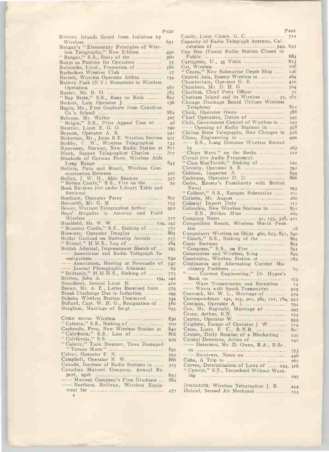|                                                                               | L'AGE |                                   |
|-------------------------------------------------------------------------------|-------|-----------------------------------|
| BAHAMA Islands Saved from Isolation by                                        |       | Candy,                            |
| Wireless                                                                      | 651   | Capacity                          |
| Bangay's "Elementary Principles of Wire-                                      |       | culatio                           |
| less Telegraphy," New Edition                                                 | 490   | Cap Bo:                           |
| "Bangor," S.S., Story of the                                                  | 360   | Public                            |
|                                                                               |       | Cartage                           |
| Banjo as Pastime for Operators                                                | 75    |                                   |
| Balcombe, Lieut., Promotion of                                                | 580   | Cat, Wi                           |
| Barbadoes Wireless Club                                                       | 27    | " Ceara                           |
| Barrett, Wireless Operator Arthur                                             | 154   | Central                           |
| Battery Park (N.Y.) Monument to Wireless                                      |       | Chambe                            |
|                                                                               | 567   | Chambe                            |
|                                                                               | 783   | Charltoi                          |
| "Bay State," S.S., Runs on Rock                                               | 852   | Chathan                           |
| Beckett, Late Operator J.                                                     | 136   | Chicago                           |
| Begin, Mr., First Graduate from Canadian                                      |       | Telep                             |
|                                                                               | 882   | Chick,                            |
|                                                                               | 327   | Chief O                           |
| "Belgia," S.S., Prize Appeal Case of                                          | 40    | Chili, G                          |
|                                                                               | 790   | $\_\_$ $O_{\rm I}$                |
|                                                                               | 94I   | Chilian                           |
|                                                                               | 927   |                                   |
|                                                                               | 133   | $\frac{\text{China}}{\text{S}}$ . |
|                                                                               | 871   | by                                |
|                                                                               | 807   | " Chiyo                           |
| Black, Sapper Telegraphist Charles<br>Blockade of German Ports, Wireless Aids |       | Circuit                           |
|                                                                               |       | " Clan                            |
|                                                                               | 845   |                                   |
|                                                                               |       | Cleverly                          |
| munication Between                                                            | 527   | Cobham                            |
|                                                                               | 327   | Cochrar                           |
|                                                                               | 54    | Codes,                            |
| Book Reviews (see under Library Table and                                     |       | Nava                              |
| Reviews)                                                                      |       | "Colbe                            |
| Bootham, Operator Percy                                                       | 807   | Collette                          |
|                                                                               | 153   | Colonia                           |
| Bower, Warrant Telegraphist Arthur                                            | 952   | Columb                            |
| Boys' Brigades in America and Field                                           |       | $\overline{\phantom{a}}$ S.       |
|                                                                               | 710   | Compar                            |
| Bradfield, Mr. W. W.  174,                                                    | 243   | Compet                            |
| "Braemar Castle," S.S., Sinking of                                            | 773   | lem                               |
| Brewster, Operator Douglas                                                    | 865   | Compul                            |
| Bridal Garland on Battleship Aerials                                          | 575   | '' Concl                          |
| "Bristol," H.M.S., Log of                                                     | 284   | Conic :                           |
| British Admiral, Impressionist Sketch of                                      | 193   | "Cong                             |
| - Association and Radio Telegraph In-                                         |       | Constar                           |
|                                                                               | 632   | Constar                           |
| - Association, Meeting at Newcastle of                                        | 547   | Continu                           |
| Journal Photographic Almanac                                                  | 69    | chine                             |
| "Brittanic," H.M.H.S., Sinking of                                             | 773   | $66 -$                            |
|                                                                               | 242   | Book                              |
| Broadbent, Second Lieut. H.                                                   | 410   | $-$ W                             |
| Brown, Mr. A. E., Letter Received from                                        | 579   | $-$ W                             |
| Brush Discharge Due to Induction                                              | 299   | Cormac                            |
| Bukoba Wireless Station Destroyed                                             | 534   | Corresp                           |
| Bullard, Capt. W. H. G., Resignation of                                       | 580   | Costiga                           |
| Burgham, Marriage of Sergt.                                                   | 655   | Cox, N                            |
|                                                                               |       |                                   |
| CABLE versus Wireless                                                         | 830   | Crane,                            |
|                                                                               |       | Craven                            |
| "Cabotia," S.S., Sinking of                                                   | 700   | Crighto                           |
|                                                                               | 840   | Cross,                            |
|                                                                               | 866   | Cruiser                           |
|                                                                               | 939   | Crystal                           |
| "Caloric," Tank Steamer, Tows Damaged                                         |       | $-$ D                             |
|                                                                               | 851   | on                                |
|                                                                               | 792   | $-- R$                            |
|                                                                               | 866   | Cuba,                             |
| Canada, Increase of Radio Stations in                                         | 315   | Curves,                           |
| Canadian Marconi Company, Annual Re-                                          |       | " Cymi                            |
|                                                                               | 657   | ing                               |
| Marconi Company's First Graduate                                              | 882   |                                   |
| - Northern Railway, Wireless Equip-                                           |       | DALGLE                            |
|                                                                               | 477   | Dalziel                           |
|                                                                               |       |                                   |

| Candy, Lieut.-Comm. G. C.<br>Capacity of Radio Telegraph Antenna, Cal- | 712        |  |
|------------------------------------------------------------------------|------------|--|
| Cap Bon (Tunis) Radio Station Closed to                                | 633        |  |
|                                                                        | 683        |  |
|                                                                        | 613        |  |
|                                                                        | 108        |  |
| "Ceara," New Submarine Depôt Ship                                      | 126        |  |
| Central Asia, Enemy Wireless in<br>Chamberlain, Operator G. E.         | 284<br>470 |  |
|                                                                        | 704        |  |
| Charlton, Chief Petty Officer                                          | 72         |  |
| Chatham Island and its Wireless  33,                                   | 505        |  |
| Chicago Drainage Board Utilises Wireless                               |            |  |
|                                                                        | 872        |  |
|                                                                        | 388        |  |
| Chief Operators, Duties of<br>Chili, Government Control of Wireless in | 545<br>100 |  |
| -Opening of Radio Stations in                                          | 358        |  |
| Chilian State Telegraphs, New Changes in                               | 528        |  |
|                                                                        | 490        |  |
| -S.S., Long Distance Wireless Record                                   |            |  |
|                                                                        | 463        |  |
| "Chiyo Maru" on the Rocks<br>Circuit (see Audio Frequency).            | 212        |  |
| "Clan MacTavish," Sinking of                                           | 122        |  |
|                                                                        | 702        |  |
|                                                                        | 030        |  |
| Cochrane, Operator D. D.                                               | 866        |  |
| Codes, Enemy's Familiarity with British                                |            |  |
| "Colbert," S.S., Escapes Submarine                                     | 193<br>200 |  |
|                                                                        | 200        |  |
| Collette, Mr. August<br>Colonial Import Duty                           | 117        |  |
| Columbia, New Wireless Stations in                                     | 371        |  |
|                                                                        | 200        |  |
| Company Notes  41, 155, 328,                                           | 4II        |  |
| Competition Result, Wireless World Prob-                               | 18         |  |
| Compulsory Wireless on Ships 460, 623, 831,                            | 840        |  |
| "Conch," S.S., Sinking of the                                          | 865        |  |
|                                                                        | 875        |  |
| Constantine and Wireless, King                                         | 852        |  |
| Constantza, Wireless Station at                                        | 849<br>702 |  |
| Continuous and Alternating Current Ma-                                 |            |  |
|                                                                        | 60         |  |
|                                                                        |            |  |
|                                                                        | 273        |  |
| - Wave Transmission and Reception<br>- Waves with Spark Transmitter    | 14         |  |
| Cormack, Mr. W. L., Marriage of                                        | 903<br>579 |  |
| Correspondence 131, 215, 301, 384, 711, 784,                           | 933        |  |
|                                                                        | 794        |  |
| Cox, Mr. Reginald, Marriage of                                         | 493        |  |
|                                                                        | 154        |  |
| Crighton, Escape of Operator J. W.                                     | 939<br>719 |  |
| Cross, Lieut. F. C., R.N.R.                                            | 807        |  |
| Cruiser, Daily Routine of a Blockading                                 | 199        |  |
| Crystal Detectors, Action of                                           | 140        |  |
| - Detectors, Mr. D. Owen, B.A., B.Sc.,                                 |            |  |
|                                                                        | 753<br>446 |  |
|                                                                        | 767        |  |
| Curves, Determination of Laws of  234,                                 | 316        |  |
| "Cymric," S.S., Torpedoed Without Warn-                                |            |  |
| ing                                                                    | 293        |  |
| DALGLEICH, Wireless Telegraphist J. B.                                 | 494        |  |
| Dalziel, Second Air Mechanic                                           | 153        |  |
|                                                                        |            |  |

#### PAGE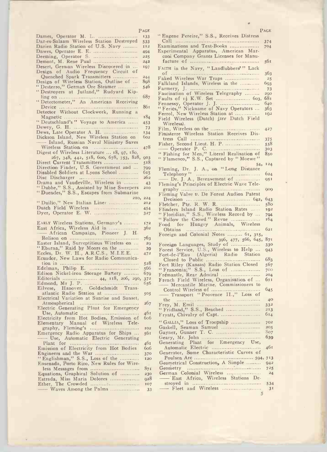|                                                                               | PAGE            |                                |
|-------------------------------------------------------------------------------|-----------------|--------------------------------|
|                                                                               | 133             | "Eugene Pe                     |
| Dar-es-Salaam Wireless Station Destroyed                                      | 533             | $Call$                         |
| Darien Radio Station of U.S. Navy                                             | 112             | Examinations                   |
|                                                                               | 494             | Experimental                   |
|                                                                               | 225             | coni Comp:                     |
| Demont, M. Rene Paul                                                          | 242             | facture of                     |
|                                                                               | 197             |                                |
| Desert, German Wireless Discovered in<br>Design of Audio Frequency Circuit of |                 | FAITH in the                   |
| Quenched Spark Transmitters                                                   |                 | $of$                           |
| Design of Wireless Station, Outline of                                        | 244<br>898      | Faked Wirel                    |
|                                                                               |                 | Falkland Isl                   |
| "Desterro," German Ore Steamer<br>"Destroyers at Jutland," Rudyard Kip-       | 546             | Farmery, J.                    |
|                                                                               | 687             | Fascination                    |
|                                                                               |                 | Faults of 12                   |
|                                                                               |                 |                                |
|                                                                               | 86 r            | Fennessy, O                    |
|                                                                               |                 | Ferrol, New                    |
| "Deutschland's" Voyage to America                                             | 184             | Field Wirel                    |
|                                                                               | 453             | Wireless).                     |
|                                                                               | 73              | Film, Wirele                   |
| Dews, Late Operator A. H.                                                     | 134             | Finisterre W                   |
| Dickson Island, New Wireless Station on                                       | 0 <sub>02</sub> | tress Call                     |
| - Island, Russian Naval Ministry Saves                                        |                 | Fisher, Secon                  |
| Wireless Station on                                                           | 478             | — Operato                      |
| Digest of Wireless Literature  18, 97, 180,                                   |                 | "Fishing fo                    |
| 267, 348, 442, 518, 600, 678, 753, 828,                                       | 903             | "Flamenco,"                    |
| Direct Current Transmitters                                                   | 518             |                                |
| Direction Finder, U.S. Government and                                         | 799             | Fleming, Di                    |
| Disabled Soldiers at Lyons School                                             | 615             | Telephony                      |
|                                                                               | 202             | $-$ Dr. J.                     |
| Drama and Vaudeville, Wireless in                                             | 43              | Fleming's Pr                   |
| "Dubhe," S.S., Assisted by Mine Sweepers                                      | 210             | graphy                         |
| "Duendes," S.S., Escapes from Submarine                                       |                 | Fleming Val                    |
|                                                                               | 210, 224        | Decision.                      |
| "Duilio," New Italian Liner                                                   | 212             | Fletcher, Pt                   |
| Dutch Field Wireless                                                          | 454             | Flinders Isl                   |
|                                                                               | 327             | "Floridian,'                   |
|                                                                               |                 | "Follow the                    |
| EARLY Wireless Stations, Germany's                                            | 172             | Food for                       |
| East Africa, Wireless Aid in                                                  | 362             | Obtains.                       |
|                                                                               |                 | Foreign and                    |
|                                                                               | 763             |                                |
| Easter Island, Surreptitious Wireless on                                      | 29              | Foreign Lan                    |
| "Eburna," Raid by Moors on the                                                | 39              | Forest Servi                   |
| Eccles, Dr. W. H., A.R.C.S., M.I.E.E.                                         | 472             | Fort-de-l'Ea                   |
| Ecuador, New Laws for Radio Communica-                                        |                 | Closed to                      |
|                                                                               | 528             | Fort Riley (                   |
|                                                                               | 566             | "Franconia,                    |
| Edison Nickel-iron Storage Battery                                            | 679             | Fremantle, I                   |
| Editorials  44, 118, 206, 290,                                                | 372             | French Fiele                   |
|                                                                               | 656             | — Mercan                       |
| Eilvese, Hanover, Goldschmidt Trans-                                          |                 | Control W                      |
| atlantic Radio Station at                                                     | 505             | $-$ Transpe                    |
| Electrical Variation at Sunrise and Sunset,                                   |                 | the                            |
|                                                                               | 267             | Frey, M. En                    |
| Electric Generating Plant for Emergency                                       |                 | "Fridland,"                    |
|                                                                               | 461             | Fryatt, Chiv                   |
|                                                                               | 600             |                                |
| of Wireless Tele-<br>Elementary Manual                                        |                 | "GALLIA," I                    |
| graphy, Fleming's                                                             | 102             | Gaskell, Sea                   |
| Emergency Radio Apparatus for Ships                                           | 561             | Gayner, Gui                    |
| - Use, Automatic Electric Generating                                          |                 | Geary, Mr.                     |
|                                                                               | 461             | Generating                     |
| Emission of Electricity from Hot Bodies                                       | 606             | Automatic                      |
| Engineers and the War                                                         | 370             | Generator,                     |
| "Englishman," S.S., Loss of the                                               | 120             | Poulsen A                      |
| Ensenada, Porto Rico, New Rules for Wire-                                     |                 | Geometrical                    |
| less Messages from                                                            | 871             | Geometry                       |
| Equations, Graphical Solution of                                              | 230             | German Co.                     |
| Estrada, Miss Maria Dolores                                                   | g28             | $\equiv$ East<br>$\mathcal{A}$ |
|                                                                               | 107             | stroyed in                     |
| - Waves Among the Palms                                                       | 33              | — Fleet :                      |
|                                                                               |                 |                                |

| "Eugene Pereire," S.S., Receives Distress                                                                                                                                                                                                                                                                                                                                                                                                                 |                |
|-----------------------------------------------------------------------------------------------------------------------------------------------------------------------------------------------------------------------------------------------------------------------------------------------------------------------------------------------------------------------------------------------------------------------------------------------------------|----------------|
| Call                                                                                                                                                                                                                                                                                                                                                                                                                                                      | 374            |
| Examinations and Text-Books                                                                                                                                                                                                                                                                                                                                                                                                                               | 704            |
| Experimental Apparatus, American Mar-<br>coni Company Grants Licenses for Manu-                                                                                                                                                                                                                                                                                                                                                                           |                |
|                                                                                                                                                                                                                                                                                                                                                                                                                                                           | 561            |
|                                                                                                                                                                                                                                                                                                                                                                                                                                                           |                |
| FAITH in the Navy, "Landlubbers"" Lack                                                                                                                                                                                                                                                                                                                                                                                                                    |                |
| Faked Wireless War Traps                                                                                                                                                                                                                                                                                                                                                                                                                                  | 363<br>$^{25}$ |
| Falkland Islands, Wireless in the                                                                                                                                                                                                                                                                                                                                                                                                                         | 093            |
|                                                                                                                                                                                                                                                                                                                                                                                                                                                           | 73             |
| Fascination of Wireless Telegraphy                                                                                                                                                                                                                                                                                                                                                                                                                        | 290            |
|                                                                                                                                                                                                                                                                                                                                                                                                                                                           | 681            |
| Fennessy, Operator J. J.<br>"Ferics," Nickname of Navy Operators                                                                                                                                                                                                                                                                                                                                                                                          | 640            |
| Ferrol, New Wireless Station at                                                                                                                                                                                                                                                                                                                                                                                                                           | 363<br>102     |
| Field Wireless (Dutch) (see Dutch Field                                                                                                                                                                                                                                                                                                                                                                                                                   |                |
| Wireless).                                                                                                                                                                                                                                                                                                                                                                                                                                                |                |
|                                                                                                                                                                                                                                                                                                                                                                                                                                                           | 427            |
| Finisterre Wireless Station Receives Dis-                                                                                                                                                                                                                                                                                                                                                                                                                 |                |
|                                                                                                                                                                                                                                                                                                                                                                                                                                                           | 375            |
| Fisher, Second Lieut. H. P.                                                                                                                                                                                                                                                                                                                                                                                                                               | 558<br>303     |
|                                                                                                                                                                                                                                                                                                                                                                                                                                                           | 850            |
| "Fishing for Men," Literal Realisation of<br>"Flamenco," S.S., Captured by "Moewe"                                                                                                                                                                                                                                                                                                                                                                        |                |
| 54,                                                                                                                                                                                                                                                                                                                                                                                                                                                       | 124            |
| Fleming, Dr. J. A., on "Long Distance                                                                                                                                                                                                                                                                                                                                                                                                                     |                |
| Telephony"<br>$\sim$                                                                                                                                                                                                                                                                                                                                                                                                                                      | 624            |
| Dr. J. A., Bereavement of                                                                                                                                                                                                                                                                                                                                                                                                                                 | 951            |
| Fleming's Principles of Electric Wave Tele-                                                                                                                                                                                                                                                                                                                                                                                                               | QOO            |
| Fleming Valve v. De Forest Audion Patent                                                                                                                                                                                                                                                                                                                                                                                                                  |                |
|                                                                                                                                                                                                                                                                                                                                                                                                                                                           | 643            |
| Decision 642,<br>Fletcher, Pte. R. W. R.                                                                                                                                                                                                                                                                                                                                                                                                                  | 580            |
| Flinders Island Radio Station Rates                                                                                                                                                                                                                                                                                                                                                                                                                       | 192            |
| "Floridian," S.S., Wireless Record by                                                                                                                                                                                                                                                                                                                                                                                                                     | 794            |
| "Follow the Crowd" Revue                                                                                                                                                                                                                                                                                                                                                                                                                                  | 164            |
| Food for Hungry Animals, Wireless<br>Obtains                                                                                                                                                                                                                                                                                                                                                                                                              | 621            |
| Foreign and Colonial Notes  61, 315,                                                                                                                                                                                                                                                                                                                                                                                                                      |                |
| 396, 477, 566, 645,                                                                                                                                                                                                                                                                                                                                                                                                                                       | 87I            |
| Foreign Languages, Study of                                                                                                                                                                                                                                                                                                                                                                                                                               | 330            |
| Forest Service, U.S., Wireless to Help<br>Fort-de-l'Eau (Algeria) Radio Station                                                                                                                                                                                                                                                                                                                                                                           | 943            |
|                                                                                                                                                                                                                                                                                                                                                                                                                                                           | 683            |
|                                                                                                                                                                                                                                                                                                                                                                                                                                                           | 567            |
| Fort Riley (Kansas) Radio Station Closed<br>"Franconia;" S.S., Loss of                                                                                                                                                                                                                                                                                                                                                                                    | 700            |
| Fremantle, Rear Admiral                                                                                                                                                                                                                                                                                                                                                                                                                                   | 204            |
| French Field Wireless, Organisation of                                                                                                                                                                                                                                                                                                                                                                                                                    | 611            |
| - Mercantile Marine, Commissioners to                                                                                                                                                                                                                                                                                                                                                                                                                     |                |
| - Transport "Provence II.," Loss of                                                                                                                                                                                                                                                                                                                                                                                                                       | 645            |
| $\begin{minipage}{0.5\textwidth} \begin{tabular}{ c c c c } \hline \multicolumn{1}{ c }{\textbf{1}} & \multicolumn{1}{ c }{\textbf{1}} & \multicolumn{1}{ c }{\textbf{1}} & \multicolumn{1}{ c }{\textbf{1}} & \multicolumn{1}{ c }{\textbf{1}} & \multicolumn{1}{ c }{\textbf{1}} & \multicolumn{1}{ c }{\textbf{1}} & \multicolumn{1}{ c }{\textbf{1}} & \multicolumn{1}{ c }{\textbf{1}} & \multicolumn{1}{ c }{\textbf{1}} & \multicolumn{1}{$<br>the | 40             |
|                                                                                                                                                                                                                                                                                                                                                                                                                                                           |                |
|                                                                                                                                                                                                                                                                                                                                                                                                                                                           | 332            |
| "Fridland," S.S., Beached                                                                                                                                                                                                                                                                                                                                                                                                                                 | 213            |
|                                                                                                                                                                                                                                                                                                                                                                                                                                                           | 614            |
|                                                                                                                                                                                                                                                                                                                                                                                                                                                           | 702            |
|                                                                                                                                                                                                                                                                                                                                                                                                                                                           | 205            |
|                                                                                                                                                                                                                                                                                                                                                                                                                                                           | 807            |
|                                                                                                                                                                                                                                                                                                                                                                                                                                                           | 639            |
| Generating Plant for Emergency Use,                                                                                                                                                                                                                                                                                                                                                                                                                       |                |
| Automatic Electric                                                                                                                                                                                                                                                                                                                                                                                                                                        | 461            |
| Generator, Some Characteristic Curves of                                                                                                                                                                                                                                                                                                                                                                                                                  | 713            |
| Geometrical Construction, A Simple                                                                                                                                                                                                                                                                                                                                                                                                                        | 942            |
|                                                                                                                                                                                                                                                                                                                                                                                                                                                           | 725            |
| German Colonial Wireless                                                                                                                                                                                                                                                                                                                                                                                                                                  | 24             |
| - East Africa, Wireless Stations De-                                                                                                                                                                                                                                                                                                                                                                                                                      |                |
|                                                                                                                                                                                                                                                                                                                                                                                                                                                           | 534<br>3I      |

PAGE

 $\bullet$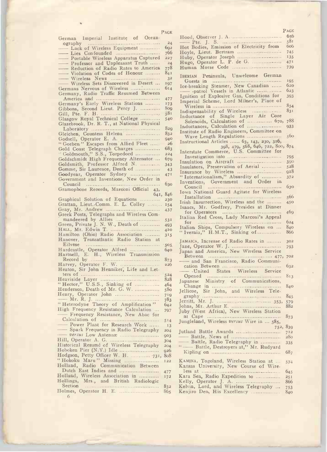| German Imperial Institute of Ocean-                                          |                | Hood,                                         |
|------------------------------------------------------------------------------|----------------|-----------------------------------------------|
|                                                                              | 24             | $- P$                                         |
| - Lack of Wireless Equipment                                                 | 602<br>766     | Hot Be<br>Hoyle,                              |
| Lies Confounded<br>- Portable Wireless Apparatus Captured                    | 227            | Huby,                                         |
| - Professor and Unpleasant Truth                                             | 24             | Hugo,                                         |
| -Reduction of Radio Rates to America                                         | 778            | Humar                                         |
| - Violation of Codes of Honour                                               | 841            |                                               |
|                                                                              | 3 <sup>2</sup> | <b>IBERIAN</b><br>Gues                        |
| - Wireless Sets Discovered in Desert                                         | 197            | Ice-bre                                       |
| Germans Nervous of Wireless                                                  | 614            | — -p                                          |
| Germany, Radio Traffic Resumed Between                                       | 477            | Ignitio                                       |
|                                                                              | 173            | Imperi                                        |
| Germany's Early Wireless Stations<br>Gibbons, Second Lieut. Percy J.         | 800            | Wire                                          |
|                                                                              | 581            | Indispe<br>Induct                             |
| Glasgow Royal Technical College                                              | 540            | Soler                                         |
| Glazebrook, Dr. R. T., at National Physical                                  | 829            | Inducta                                       |
| Gleichen, Countess Helena                                                    | 832            | Institut                                      |
| Godsell, Operator E. A.                                                      | 940            | Wav                                           |
| "Goeben" Escapes from Allied Fleet                                           | 26             | Instruc                                       |
| Gold Coast Telegraph Charges                                                 | 683            |                                               |
| "Goldmouth," S.S., Torpedoed                                                 | 224            | Intersta<br>Inves                             |
| Goldschmidt High Frequency Alternator                                        | 679            | Insulat                                       |
| Goldsmith, Professor Alfred N.<br>Gomme, Sir Laurence, Death of              | 343<br>43      | Insulat                                       |
|                                                                              | 471            | Insurai                                       |
| Goodyear, Operator Sydney<br>Government and Inventions, New Order in         |                | "Inter                                        |
| Council                                                                      | 630            | Inventi                                       |
| Gramophone Records, Marconi Official 43,                                     |                | Coun<br>Iowa P                                |
| 641, 846                                                                     |                | Insta                                         |
| Graphical Solution of Equations                                              | 230            | Irish I                                       |
| Grattan, Lieut.-Comm. E. L. Colley                                           | 154<br>437     | Isaacs,                                       |
| Greek Posts, Telegraphs and Wireless Com-                                    |                | for (                                         |
|                                                                              | 531            | Italian                                       |
| Green, Private J. N. W., Death of                                            | 493            | for<br>Italian                                |
| HALL, Mr. Edwin T.                                                           | 410            | "Ivern                                        |
| Hamilton (Ohio) Radio Association<br>Hanover, Transatlantic Radio Station at | 315            |                                               |
|                                                                              | 505            | <b>JAMAIC</b>                                 |
|                                                                              | 640            | Jane, C<br>Japan                              |
|                                                                              |                | Betw                                          |
| Record by                                                                    | 873            | $-$ and $-$                                   |
| Heaton, Sir John Henniker, Life and Let-                                     | 226            | cation                                        |
|                                                                              | 524            | — -t                                          |
|                                                                              | 828            | Open<br>apanes                                |
| "Hector," U.S.S., Sinking of                                                 | 464            | Chan                                          |
| Henderson, Death of Mr. G. W.                                                | 580            | Jellicoe                                      |
|                                                                              | 719<br>783     | graph                                         |
| "Heterodyne Theory of Amplification"                                         | 642            | Jerritt,                                      |
| High Frequency Resistance Calculation                                        | 797            | Johns,<br>Juby (                              |
| - Frequency Resistance, New Abac for                                         |                | at C                                          |
|                                                                              | 514            | Junglel                                       |
| - Power Plant for Research Work                                              | 13             |                                               |
| -Spark Frequency in Radio Telegraphy                                         | 204            | Jutland                                       |
|                                                                              | 903<br>304     | $\longrightarrow$ B<br>$\frac{1}{\sqrt{2}}$ B |
| Historical Resumé of Wireless Telegraphy                                     | 204            | $\alpha_{\perp}$<br>$\overline{\phantom{a}}$  |
|                                                                              | 926            | Kipli                                         |
| Hodgson, Petty Officer W. H.  731,                                           | 808            |                                               |
| "Hokoku Maru" Missing                                                        | 122            | KAMINA                                        |
| Radio Communication Between<br>Holland,<br>Dutch East Indies and             |                | Kansas                                        |
| Holland, Wireless Association in                                             | 477<br>172     | less<br>Kara S                                |
| Mrs., and British Radiologic<br>Hollings,                                    |                | Kelly,                                        |
| Section                                                                      | 832            | Kelvin,                                       |
|                                                                              | 865            | Kenjiro                                       |

 $\overline{a}$ 

|                                                                | PAGE       |  |
|----------------------------------------------------------------|------------|--|
| Hood, Observer J. A.                                           | 650        |  |
|                                                                | 581        |  |
| Hot Bodies, Emission of Electricity from                       | 606        |  |
|                                                                | 745        |  |
| Huby, Operator Joseph<br>Hugo, Operator L. P. de G.            | 135<br>471 |  |
| Human Morse Code                                               | 739        |  |
|                                                                |            |  |
| IBERIAN Peninsula, Unwelcome German                            |            |  |
| Ice-breaking Steamer, New Canadian                             | 195<br>620 |  |
| - patrol Vessels in Atlantic                                   | 623        |  |
| Ignition of Explosive Gas, Conditions for                      | 393        |  |
| Imperial Scheme, Lord Milner's, Place of                       |            |  |
|                                                                | 854        |  |
| Indispensability of Wireless                                   | 831        |  |
| Inductance of Single Layer Air Core                            |            |  |
| Solenoids, Calculation of  670,<br>Inductances, Calculation of | 788        |  |
| Institute of Radio Engineers, Committee on                     | 933        |  |
| Wave Length Regulations                                        | 500        |  |
| Instructional Articles  63, 143, 230, 316,                     |            |  |
| 398, 479, 568, 646, 722, 800,                                  | 874        |  |
| Interstate Commerce, U.S. Committee for                        |            |  |
| Investigation into<br>Insulation on Aircraft                   | 795        |  |
|                                                                | 390        |  |
| Insulators, Preservation of Aerial                             | 528<br>918 |  |
| "Internationalism," Absurdity of                               | 372        |  |
| Inventions, Government and Order in                            |            |  |
|                                                                | 630        |  |
| Iowa National Guard Agitate for Wireless                       |            |  |
|                                                                | 566        |  |
| Irish Insurrection, Wireless and the                           | 450        |  |
| Isaacs, Mr. Godfrey, Presides at Dinner                        | 469        |  |
| Italian Red Cross, Lady Marconi's Appeal                       |            |  |
| for<br>$\rightarrow$                                           | 624        |  |
| Italian Ships, Compulsory Wireless on                          | 840        |  |
| "Ivernia," H.M.T., Sinking of                                  | 866        |  |
| JAMAICA, Increase of Radio Rates in                            |            |  |
|                                                                | 302<br>793 |  |
| Japan and America, New Wireless Service                        |            |  |
|                                                                | 702        |  |
| -and San Francisco, Radio Communi-                             |            |  |
|                                                                | 632.       |  |
| - United States Wireless Service<br>Opened                     |            |  |
| Japanese                                                       | 813        |  |
|                                                                | 840        |  |
| Jellicoe, Sir John, and Wireless Tele-                         |            |  |
|                                                                | 84.5       |  |
|                                                                | 579        |  |
|                                                                | 882        |  |
| Juby (West Africa), New Wireless Station<br>at Cape            |            |  |
| <br>.<br>Jungleland, Wireless versus Wire in  585,             | 873        |  |
| 752,                                                           | 839        |  |
| Jutland Battle Awards                                          | 712        |  |
|                                                                | 280        |  |
| -Battle, Radio Telegraphy in                                   | 335        |  |
| "- Battle, Destroyers at," Mr. Rudyard                         |            |  |
|                                                                | 687        |  |
| KAMINA, Togoland, Wireless Station at                          | $57 +$     |  |
| Kansas University, New Course of Wire-                         |            |  |
|                                                                | 045        |  |
| Kara Sea, Radio Expedition to                                  | 251        |  |
|                                                                | 866        |  |
| Kelvin, Lord, and Wireless Telegraphy                          | 753        |  |
| Kenjiro Den, His Excellency                                    | 840        |  |

6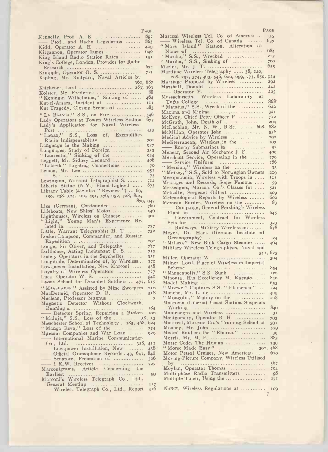| <b>PAGE</b>                                   |                  |                               |
|-----------------------------------------------|------------------|-------------------------------|
|                                               | 897              | Marconi                       |
| -Prof., and Radio Legislation                 | 863              | — Wire                        |
|                                               | 400              | "Mare                         |
| Kilgannon, Operator James                     | 640              | Name                          |
| King Island Radio Station Rates               | 191              | "Marika,                      |
| King's College, London, Provides for Radio    |                  | "Marina                       |
| Research<br>Kinipple, Operator O. S.          | 624              | Marler, 1                     |
|                                               | 721              | Maritime                      |
| Kipling, Mr. Rudyard, Naval Articles by       |                  | 208, :                        |
| 362,                                          | 687              | Marriage                      |
|                                               | 3 <sup>0</sup> 3 | Marshall,                     |
|                                               | 88               | —— Оре                        |
|                                               | 464              | Massachu                      |
|                                               | III              | Tufts <sup>(</sup><br>"Matatu |
| Kut Tragedy, Closing Scenes of                | $283 -$          | Maxim <b>a</b> :              |
|                                               |                  | McEvoy,                       |
| Lady Operators at Towyn Wireless Station      | 677              | McGrath                       |
| Lady's Application for Naval Wireless         |                  | McLachl                       |
|                                               | 453              | McMillar                      |
| "Lanao," S.S., Loss of, Exemplifies           |                  | Medical                       |
|                                               | 701              | Mediterr                      |
|                                               | 927              | $\rightharpoonup$ Ene         |
| Languages, Study of Foreign                   | 333              | Menear,                       |
| "Laurentic," Sinking of the                   | 924              | Merchan                       |
| Leggett, Mr. Sidney Leonard                   | 408              | $\equiv$ Ser                  |
| "Lektrik" Lighting Connections                | 70               | "Mercia                       |
|                                               | 95I              | "Mersey                       |
| Lewington, Warramt Telegraphist S.            | 73<br>712        | Mesopota                      |
| Liberty Statue (N.Y.) Flood-Lighted           | 873              | Messages                      |
| Library Table (see also "Reviews")  69,       |                  | $M$ esseng                    |
| 150, 238, 324, 405, 491, 576, 652, 728, 804,  |                  | Metcalfe                      |
|                                               | 879, 947         | Meteorol                      |
| Lies (German), Confounded                     | 766              | Mexican<br>— Ca               |
| Lifeboats, New Ships' Motor                   | 546              | Plant                         |
| Lighthouses, Wireless on Chinese              | 301              | $-$ Go                        |
| "Light," Young Man's Experience Re-           |                  | Sets fe                       |
|                                               | 777              | — Rai                         |
| Little, Warrant Telegraphist H. T.            | 732              | Meyer,                        |
| Locker-Lampson, Commander, and Russian        |                  | Ocean                         |
| Lodge, Sir Oliver, and Telepathy              | 200              | " Milazo                      |
| Lofthouse, Acting Lieutenant F. S.            | 777<br>$712 -$   | Military                      |
| Lonely Operators in the Seychelles            | 35I              |                               |
| Longitude, Determination of, by Wireless      | 371              | Miller, (<br>Milner,          |
| Low-power Installation, New Marconi           | 438              |                               |
|                                               | 777              | Schem<br>" Minne              |
|                                               | <b>94I</b>       | Minoura                       |
| Lyons School for Disabled Soldiers  477,      | 615              | Model 1                       |
| "MAASHAVEN" Assisted by Mine Sweepers         | 210              | "Moewe                        |
| MacDermid, Operator D. R.                     | 558              | Moncho,                       |
| Maclean, Professor Magnus                     | -7               | " Mongo                       |
| Magnetic Detector Without Clockwork,          |                  | Monrovi                       |
|                                               | 184              | Worki                         |
| - Detector Spring, Repairing a Broken         | 100              | Montene                       |
| "Maloja," S.S., Loss of the  38, 53           |                  | Montgon                       |
| Manchester School of Technology 185, 468, 624 |                  | Montrea                       |
| "Manga Reva," Loss of the                     | 774              | Mooney,                       |
| Marconi Companies and War Loan                | 929              | Moors'                        |
| - International Marine Communication          |                  | Morris,                       |
|                                               | <b>411</b>       | Morse C                       |
| Co., Ltd. 328,<br>Low-power Installation, New | 438              | "Morse                        |
| - Official Gramophone Records43, 641,         | 846              | Motor F                       |
| -Senatore, Promotion of                       | 526              | Moving-                       |
|                                               | 727              | by                            |
| Marconigrams, Article Concerning the          |                  | Moylan,<br>Multi-pl           |
| Marconi's Wireless Telegraph Co., Ltd.,       | 59               | Multiple                      |
|                                               | 417              |                               |
| - Wireless Telegraph Co., Ltd., Report        | 416              | NANCY.                        |
|                                               |                  |                               |

| 97              | Marconi Wireless Tel. Co. of America             | 155            |  |
|-----------------|--------------------------------------------------|----------------|--|
| 63              | - Wireless Tel. Co. of Canada                    | 637            |  |
| OQ.             | "Mare Island" Station, Alteration of             |                |  |
| 40              | Name of                                          | 684            |  |
| 91              |                                                  | 212            |  |
|                 |                                                  | 700            |  |
|                 |                                                  | 055            |  |
| 24              |                                                  |                |  |
| 2I              | Maritime Wireless Telegraphy  38, 120,           |                |  |
|                 | 208, 292, 374, 463, 546, 620, 699, 773, 850, 924 |                |  |
| 87              | Marriage Proposal by Wireless                    | 292            |  |
| 63              | Marshall, Donald<br>Operator E.                  | 242            |  |
| 88              |                                                  | 225            |  |
| 164             | Massachusetts, Wireless Laboratory at            |                |  |
| III             |                                                  | 868.           |  |
| 283-            |                                                  | 622            |  |
|                 |                                                  | $3^{21}$       |  |
| 546             | McEvoy, Chief Petty Officer P.                   | 712            |  |
| 577             |                                                  | 204            |  |
|                 | McLachlan, Mr. N. W., B.Sc.  668,                | 882            |  |
| 453             |                                                  |                |  |
|                 |                                                  | 558            |  |
| 701             |                                                  | 292            |  |
| 927             | Mediterranean, Wireless in the                   | 107            |  |
| 333             | —— Enemy Submarines in <i>marrows</i>            | 3 <sup>2</sup> |  |
| 924             | Menear, Second Air Mechanic J. F.                | 400            |  |
|                 | Merchant Service, Operating in the               | 779            |  |
| 408             |                                                  | 786            |  |
| 70              | "Mercian," Wireless on the                       | 33             |  |
| 95I             | "Mersey," S.S., Sold to Norwegian Owners         | 200            |  |
| 73              | Mesopotamia, Wireless with Troops in             | III            |  |
| 712             | Messages and Records, Some Famous                | 59             |  |
| 873             | Messengers, Marconi Co.'s Classes for            | 521            |  |
|                 | Metcalfe, Sergeant Gilbert                       | 400            |  |
|                 |                                                  | 602            |  |
| 947             | Meteorological Reports by Wireless               |                |  |
| 766             | Mexican Border, Wireless on the                  | 8 <sub>3</sub> |  |
| 546             | - Campaign, General Pershing's Wireless          |                |  |
| 301             |                                                  | 645            |  |
|                 | - Government, Contract for Wireless              |                |  |
|                 |                                                  | 323            |  |
| 777             | - Railways, Military Wireless on                 | 678            |  |
| 732             | Meyer, Dr. Hans (German Institute of             |                |  |
|                 |                                                  | 24             |  |
| 200             | "Milazo," New Bulk Cargo Steamer                 | 464            |  |
| 777             | Military Wireless Telegraphists, Naval and       |                |  |
| $712 -$         |                                                  | 54I, 625       |  |
| 35I             |                                                  | 304            |  |
| 371             | Milner, Lord, Place of Wireless in Imperial      |                |  |
| 438             |                                                  | 854            |  |
| 777             |                                                  | 120            |  |
| 94 <sup>T</sup> | Minoura, His Excellency M. Katsuto               | 840            |  |
| 615             |                                                  | 653            |  |
| 210             | "Moewe" Captures S.S. "Flamenco"                 | 124            |  |
| 558             |                                                  | 400            |  |
|                 | "Mongolia," Mutiny on the                        | 208            |  |
| $\overline{7}$  |                                                  |                |  |
|                 | Monrovia (Liberia) Coast Station Suspends        |                |  |
| 184             | Working                                          | 840            |  |
| 100             | Montenegro and Wireless                          | 31             |  |
| 53              | Montgomery, Operator B. H.                       | 793            |  |
| 624             | Montreal, Marconi Co.'s Training School at       | 591            |  |
| 774             |                                                  | 579            |  |
| 929             | Moors' Raid on the "Eburna"                      | 39             |  |
|                 |                                                  | 883            |  |
| <b>411</b>      | Morse Code, The Human                            | 739            |  |
| 438             |                                                  | 468            |  |
| 846             | Motor Petrol Cruiser, New American               | 620            |  |
| 526             | Moving-Picture Company, Wireless Utilised        |                |  |
| 727             | by                                               | 567            |  |
|                 | Moylan, Operator Thomas                          | 794            |  |
|                 | Multi-phase Radio Transmitters                   | 98             |  |
| 59              |                                                  |                |  |
|                 | Multiple Tuner, Using the                        | 27I            |  |
| 417             |                                                  |                |  |
| 416             |                                                  |                |  |

7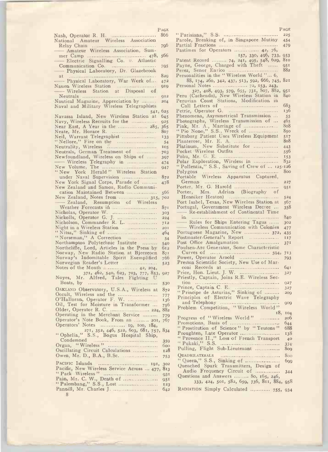|                                                                           | PAGE             |                               |
|---------------------------------------------------------------------------|------------------|-------------------------------|
|                                                                           | 866              | "Parisian                     |
|                                                                           |                  | Parole, B                     |
| Relay Chain                                                               | 796              | Partial F:                    |
| - Amateur Wireless Association, Sum-                                      |                  | Pastimes                      |
|                                                                           | 566              |                               |
| - Electric Signalling Co. v. Atlantic                                     |                  | Patent Re                     |
|                                                                           |                  | Payne, G                      |
|                                                                           | 795              | Perez, Se                     |
| - Physical Laboratory, Dr. Glazebrook                                     | 829              | Personalit                    |
| - Physical Laboratory, War Work of                                        |                  |                               |
|                                                                           | 472              | 88, 1                         |
| Nauen Wireless Station                                                    | 919              | Personal 1                    |
| - Wireless Station at Disposal of                                         |                  | 3 <sup>2</sup> 7              |
|                                                                           | QI2              | Peru (Cao                     |
| Nautical Magazine, Appreciation by                                        | 204              | Peruvian                      |
| Naval and Military Wireless Telegraphists                                 |                  | $Call$ $L_6$                  |
| 54I,                                                                      | 625              | Petrie, O                     |
| Navassa Island, New Wireless Station at                                   | 645              | Phenomen                      |
| Navy, Wireless Recruits for the                                           | 925              | Photograp                     |
|                                                                           | 365              | Pink, Mr.<br>"Pio No          |
|                                                                           | 807              |                               |
|                                                                           | 133              | Pittsburg                     |
|                                                                           | 54               | Planterose                    |
|                                                                           | IO <sub>5</sub>  | Platinum,                     |
| Neutrals, German Treatment of                                             | 703              | $\rm Pocket$ $\cdot$ W        |
| Newfoundland, Wireless on Ships of                                        | 397              | Pohu, Mr                      |
|                                                                           | 474              | Polar Ex                      |
|                                                                           | 947              | "Pollenti                     |
| "New York Herald" Wireless Station                                        |                  | Polygons                      |
| under Naval Supervision                                                   | 872              | Portable                      |
| New York Signal Corps, Parade of                                          | 478              | German                        |
| New Zealand and Samoa, Radio Communi-                                     |                  | Porter, M.                    |
| cation Maintained Between                                                 | 566              | Porter,                       |
|                                                                           | 702              | Hennik                        |
| - Zealand, Resumption of Wireless                                         |                  | Port Isab                     |
|                                                                           | 87I              | Portugal,                     |
|                                                                           | 303              | — Ке-е                        |
|                                                                           | 224              | $1 - 1$                       |
| Nicholson, Commander R. L.                                                | 712              | — Rule                        |
| Night in a Wireless Station                                               | <b>201</b>       | $\overline{\phantom{0}}$ Wire |
|                                                                           | 464              | Portugues                     |
| "Norseman," A Correction                                                  |                  | Postmaste                     |
| Northampton Polytechnic Institute                                         | 54               | Post Offic                    |
| Northcliffe, Lord, Articles in the Press by                               | 540              | Poulsen-A                     |
| Norway, New Radio Station at Bjeereoen                                    | 612<br>871       | Curves                        |
| Norway's Indomitable Spirit Exemplified                                   |                  | Power, C                      |
| Norwegian Reader's Letter                                                 | 766              | Preston S                     |
|                                                                           | 523              | coni R                        |
|                                                                           |                  | Price, Ho                     |
| 371, 462, 540, 623, 703, 777, 853,<br>Noyes, Mr. Alfred, Tales Fighting U | 927              | Priestly,                     |
|                                                                           |                  |                               |
| Boats, by                                                                 | 530              | tion<br>Prince, C             |
| OAKLAND Observatory, U.S.A., Wireless at                                  | 872              | "Princip                      |
|                                                                           | 777              | Principle                     |
|                                                                           | 130              | and Te                        |
| Oil, Test for Moisture in Transformer                                     | 756              |                               |
|                                                                           | 882              | Problem                       |
|                                                                           | 779              |                               |
| Operator's Note Book, From an  201, 767                                   |                  | Progress                      |
| Operators' Notes  19, 100, 184,                                           |                  | Promotio:                     |
| 271, 352, 446, 522, 603, 681, 757, 834                                    |                  | "Prostitu                     |
| "Ophelia," S.S., Bogus Hospital Ship,                                     |                  | Proughte                      |
|                                                                           | 359              | "Proven                       |
|                                                                           | 600              | "Pukaki                       |
| Oscillating Circuit Calculations                                          |                  | Pulling,                      |
|                                                                           | I <sub>2</sub> 8 |                               |
|                                                                           |                  | <b>OUADRILA</b>               |
| Owen, Mr. D., B.A., B.Sc.                                                 | 753              |                               |
| PACIFIC Islands                                                           | 302              | "Queen,                       |
| Pacific, New Wireless Service Across  477,                                | 813              | Quencheo                      |
|                                                                           | 93I              | Audio                         |
| Pain, Mr. C. W., Death of                                                 | 95I              | Questions                     |
|                                                                           | 123              | 33                            |
|                                                                           | 642              | RADIATIO                      |

|                                                                                      | F, VCE          |
|--------------------------------------------------------------------------------------|-----------------|
|                                                                                      | 225             |
| Parole, Breaking of, in Singapore Mutiny                                             | 454             |
|                                                                                      | 479             |
| Pastimes for Operators  42, 76,                                                      |                 |
| 157, 330, 496, 733, 953                                                              |                 |
| Patent Record  74, 241, 495, 548, 629,                                               | 810             |
|                                                                                      | 95I             |
|                                                                                      | 882             |
| Personalities in the "Wireless World" 6,                                             |                 |
|                                                                                      |                 |
|                                                                                      |                 |
|                                                                                      |                 |
|                                                                                      | 840             |
| Peru (Cachendo), New Wireless Station in<br>Peruvian Coast Stations, Modification in |                 |
|                                                                                      | 683             |
|                                                                                      | 13 <sub>0</sub> |
| Phenomena, Asymmetrical Transmission                                                 | 55              |
| Photographs, Wireless Transmission of                                                | 405             |
|                                                                                      | 808             |
|                                                                                      | 850             |
| Pittsburg Patient Uses Wireless Equipment                                            | 517             |
| Planterose, Mr. E. A.                                                                | 808             |
| Platinum, New Substitute for                                                         | 443             |
|                                                                                      | 550             |
|                                                                                      | <b>I53</b>      |
| Polar Exploration, Wireless in                                                       | 832             |
| "Pollentia," S.S., Saving of Crew of  125-126                                        |                 |
|                                                                                      | 800             |
| Portable Wireless Apparatus Captured,                                                |                 |
|                                                                                      | 227             |
|                                                                                      | 95I             |
| Porter, Mrs. Adrian (Biography of                                                    |                 |
|                                                                                      | 524             |
| Port Isabel, Texas, New Wireless Station at                                          | 567             |
| Portugal, Government Wireless Decree                                                 | 358             |
| - Re-establishment of Continental Time                                               |                 |
|                                                                                      | 840             |
|                                                                                      | 302             |
| Rules for Ships Entering Tagus<br>Wireless Communication with Colonies               | 477             |
| Portuguese Magazine, New  372,                                                       | 435             |
| Postmaster-General's Report                                                          | II7             |
| Post Office Amalgamation                                                             | 37I             |
| Poulsen-Arc Generator, Some Characteristic                                           |                 |
|                                                                                      | 713             |
| Power, Operator Arnold                                                               | 793             |
| Preston Scientific Society, New Use of Mar-                                          |                 |
| coni Records at<br>Price, Hon. Lieut. J. W.                                          | 641             |
|                                                                                      | 327             |
| Priestly, Captain, Joins R.E. Wireless Sec-                                          |                 |
|                                                                                      | 927             |
| Prince, Captain C. E.<br>"Principe de Asturias," Sinking of                          | 327             |
|                                                                                      | 200             |
| Principles of Electric Wave Telegraphy                                               |                 |
|                                                                                      | 909             |
|                                                                                      |                 |
| 18,                                                                                  | IO4             |
| Progress of "Wireless World"                                                         | 206             |
|                                                                                      | 644             |
|                                                                                      | 688             |
|                                                                                      | 138             |
|                                                                                      | 40              |
|                                                                                      | 374             |
| Pulling, Flight Sub-Lieutenant                                                       | 800             |
| <b>QUADRILATERALS</b>                                                                | 800             |
| "Queen," S.S., Sinking of                                                            | 609             |
|                                                                                      |                 |
| Quenched Spark Transmitters, Design of<br>Audio Frequency Circuit of                 | 344             |
| Questions and Answers  80, 165, 246,                                                 |                 |
| 333, 424, 501, 582, 659, 736, 811, 884,                                              | 958             |
| RADIATION Simply Calculated  755, 934                                                |                 |
|                                                                                      |                 |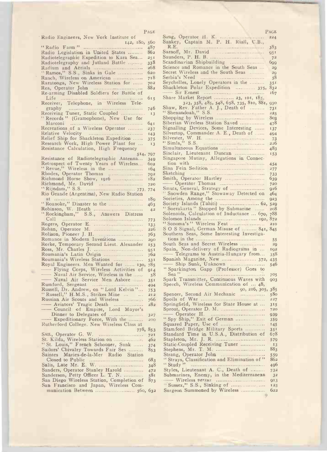| Radio Engineers, New York Institute of    |                  |                                                   | 224             |
|-------------------------------------------|------------------|---------------------------------------------------|-----------------|
| 142, 180, 560                             |                  | Sankey, Captain M. P. H. Riall, C.B.,             |                 |
|                                           | 487              |                                                   | 383             |
| Radio Legislation in United States        | 862              |                                                   | 95I             |
| Radiotelegraphic Expedition to Kara Sea   | 25I              |                                                   | $7^2$           |
| Radiotelegraphy and Jutland Battle        | 338              | Scandinavian Shipbuilding                         | 699             |
|                                           | 268              | Science and Romance in the South Seas             | 29              |
| "Ramos," S.S., Sinks in Gale              | 620              | Secret Wireless and the South Seas                | 2Q              |
| Ranch, Wireless on American               | 718              |                                                   | 58              |
| Raratonga, New Wireless Station for       | 702              | Seychelles, Lonely Operators in the               | 35 <sup>I</sup> |
|                                           | 882              | Shackleton Polar Expedition  375,                 | 832             |
| Re-arming Disabled Soldiers for Battle of |                  |                                                   | 107             |
|                                           | 015              | Share Market Report  23, 101, 185,                |                 |
| Receiver, Telephone, in Wireless Tele-    |                  | 323, 358, 485, 548, 658, 735, 810, 881, 950       |                 |
|                                           | 746              | Shaw, Rev. Father A. J., Death of                 | 731             |
|                                           |                  |                                                   | 225             |
| "Records" (Gramophone), New Use for       |                  |                                                   | 803             |
|                                           | 64I              | Siberian Wireless Station Saved                   | 478             |
| Recreations of a Wireless Operator        | 237              | Signalling Devices, Some Interesting              | <b>I37</b>      |
|                                           | 143              | Silvertop, Commander A. E., Death of              | 494             |
| Relief Ship for Shackleton Expedition     | 375              |                                                   | 73              |
| Research Work, High Power Plant for       | 13               |                                                   | 220             |
| Resistance Calculation, High Frequency    |                  |                                                   | 483             |
|                                           | 514, 797         | Sinclair, Lieutenant Duncan                       | 153             |
| Resistance of Radiotelegraphic Antenna    | 349              | Singapore Mutiny, Allegations in Connec-          |                 |
| Retrospect of Twenty Years of Wireless    | 002              |                                                   | 454             |
| "Revue," Wireless in the                  | 164              |                                                   | 277             |
| Rhodes, Operator Thomas                   | 792              |                                                   | 733             |
| Richmond Horse Show, 1916                 | 182              |                                                   | 039             |
|                                           | 720              |                                                   | 720             |
|                                           |                  |                                                   | QI <sub>0</sub> |
| Rio Grande (Argentina), New Radio Station |                  | "Snowden Range," Stowaway Detected on             | 404             |
|                                           | 189              |                                                   | 923             |
| "Roanoke," Disaster to the                | 463              |                                                   |                 |
|                                           | 4 <sup>2</sup>   | "Soerakarta" Stopped by Submarine                 | 208             |
| "Rockingham," S.S., Answers Distress      |                  | Solenoids, Calculation of Inductance  670, 788    |                 |
|                                           | 773              |                                                   |                 |
|                                           | 133              |                                                   | 210             |
|                                           | 226              | S O S Signal, German Misuse of  841, 845          |                 |
|                                           | 7 <sup>6</sup> 3 | Southern Seas, Some Interesting Investiga-        |                 |
| Romance in Modern Inventions              | 200              |                                                   | 55              |
| Rorke, Temporary Second Lieut. Alexander  | 153              | South Seas and Secret Wireless                    | 20              |
|                                           | 951              | Spain, Non-delivery of Radiograms in              | 102             |
|                                           | 702              | - Telegrams to Austria-Hungary from               | 358             |
| Roumania's Wireless Stations              | 531              |                                                   |                 |
| Royal Engineers. Men Wanted for  130, 785 |                  |                                                   | 540             |
|                                           | 914              | "Sparkington Gapp (Professor) Goes to             |                 |
| Naval Air Service, Wireless in the        | 58               |                                                   | 705             |
| - Naval Air Service Men Ashore            | 35I              | Spark Transmitter, Continuous Waves with          | 903             |
|                                           | 494              | Speech, Wireless Communication of  48,            |                 |
| Russell, Dr. Andrew, on "Lord Kelvin"     | 753              | 90, 210, 305, 385<br>Spencer, Second Air Mechanic |                 |
| "Russell," H.M.S., Strikes Mine           | 212              |                                                   | 580             |
| Russian Air Scouts and Wireless           | 766<br>282       | Springfield, Wireless for State House at          | 227<br>315      |
|                                           |                  |                                                   | 720             |
| - Council of Empire, Lord Mayor's         |                  |                                                   |                 |
| - Expeditionary Force, With the  200      | 327              |                                                   |                 |
| Rutherford College. New Wireless Class at |                  |                                                   | 145             |
|                                           | 778, 853         | Stamford Bridge Military Sports                   | 35 <sup>1</sup> |
|                                           | 72I              | Standard Time in U.S.A., Distribution of          | 678             |
| St. Kilda, Wireless Station on            | 402              |                                                   | 579             |
| "St. Louis," French Schooner, Sunk        | 374              | Static-Coupled Receiving Tuner                    | 13              |
| Sailors' Chivalry Towards Fair Sex        | 853              |                                                   | 883             |
| Saintes Maries-de-la-Mer Radio Station    |                  |                                                   | 559             |
|                                           | 683              | "Strays, Classification and Elimination of"       | 862             |
|                                           | 348              |                                                   | 496             |
| Sanders, Operator Stanley Harold          | 472              | Styles, Lieutenant A. C., Death of                | 732             |
| Sanderson, Petty Officer L. T. N.         | 581              | Submarines, Enemy, in the Mediterranean           | 3 <sup>2</sup>  |
| San Diego Wireless Station, Completion of | 873              |                                                   | 913             |
| San Francisco and Japan, Wireless Com-    |                  |                                                   | 123             |
|                                           |                  | Surgeon Summoned by Wireless                      | 622             |
|                                           |                  |                                                   |                 |

|                 | PAGE             |                                                | PAGE           |  |
|-----------------|------------------|------------------------------------------------|----------------|--|
| te of           |                  |                                                | 224            |  |
| 142, 180,       | 560              | Sankey, Captain M. P. H. Riall, C.B.,          |                |  |
| .               | 487              |                                                | 383            |  |
| 1.1.1.1.1.1.1.1 | 862              |                                                | <b>95I</b>     |  |
| a Sea           | 25I              |                                                | 7 <sup>2</sup> |  |
| <u>Sagara</u>   | 338              | Scandinavian Shipbuilding                      | 699            |  |
| .               | 208              | Science and Romance in the South Seas          | 2Q             |  |
| .               | 620              | Secret Wireless and the South Seas             | 2Q             |  |
| .               | 718              |                                                | 58             |  |
| $or \dots$      |                  | Seychelles, Lonely Operators in the            | 35I            |  |
|                 | 702<br>882       | Shackleton Polar Expedition  375,              | 832            |  |
| .               |                  |                                                | 167            |  |
| attle of        |                  | Share Market Report  23, 101, 185,             |                |  |
| .               | 615              |                                                |                |  |
| ; Tele-         |                  | 323, 358, 485, 548, 658, 735, 810, 881, 950    |                |  |
| .               | 746              | Shaw, Rev. Father A. J., Death of              | 731            |  |
| .               | <b>I3</b>        | "Shenandoah," S.S.                             | 225            |  |
| Jse for         |                  |                                                | 803            |  |
| .               | 64I              | Siberian Wireless Station Saved                | 478            |  |
|                 | 237              | Signalling Devices, Some Interesting           | I37            |  |
| .               | 143              | Silvertop, Commander A. E., Death of           | 494            |  |
| $on \ldots$     | 375              |                                                | 73             |  |
| for             | 13               | "Simla," S.S.                                  | 226            |  |
| aency           |                  |                                                | 483            |  |
| 5I4,            | 797              | Sinclair, Lieutenant Duncan                    | 153            |  |
| tenna           | 349              | Singapore Mutiny, Allegations in Connec-       |                |  |
| reless          | 602              |                                                | 454            |  |
| .               | 164              |                                                | 277            |  |
| .               | 792              |                                                | 733            |  |
| .               | 182              |                                                | $^{639}$       |  |
| .               | 720              |                                                | 720            |  |
| 773,            | 774              | Smuts, General, Strategy of                    | 916            |  |
| Station         |                  | "Snowden Range," Stowaway Detected on          | 404            |  |
| .               | 189              |                                                | 923            |  |
| .               | 4 <sup>6</sup> 3 |                                                |                |  |
| .               | 42               | "Soerakarta" Stopped by Submarine              | 208            |  |
| <b>Distress</b> |                  | Solenoids, Calculation of Inductance  670, 788 |                |  |
| .               |                  | Solomon Islands  192, 872                      |                |  |
| .               | 773<br>133       |                                                | 210            |  |
| .               | 226              | S O S Signal, German Misuse of  841, 845       |                |  |
| .               |                  | Southern Seas, Some Interesting Investiga-     |                |  |
| .               | 703              |                                                | 55             |  |
| exander         | 290              | South Seas and Secret Wireless                 | 20             |  |
|                 | 153              | Spain, Non-delivery of Radiograms in           | 192            |  |
| .<br>.          | 951              | - Telegrams to Austria-Hungary from            | 358            |  |
|                 | 762              |                                                |                |  |
| .               | 531              |                                                |                |  |
| $\cdots$ 130,   | 785              |                                                | 540            |  |
| ities of        | 914              | "Sparkington Gapp (Professor) Goes to          |                |  |
| the $\ldots$    | 58               |                                                | 705            |  |
| re              | 35I              | Spark Transmitter, Continuous Waves with       | 903            |  |
| .               | 494              | Speech, Wireless Communication of  48,         |                |  |
| $1$ vin $"$     | 753              | 90, 216, 305, 385                              |                |  |
| بتدار الدا      | 212              | Spencer, Second Air Mechanic                   | 580            |  |
|                 | 766              |                                                | 227            |  |
|                 | 282              | Springfield, Wireless for State House at       | 315            |  |
| Mayor's         |                  |                                                | 720            |  |
| .               | 327              | $\overline{\phantom{a}}$ Operator H.           | 939            |  |

munication Between 560, 632 Surgeon Summoned by Wireless 622  $\circ$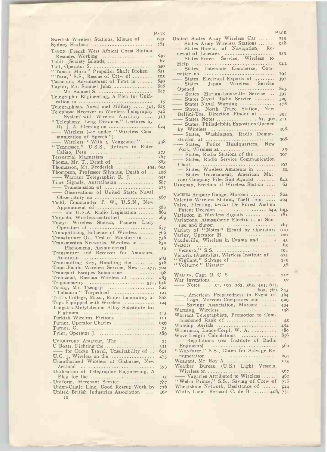|                                                                     | PAGE            |                                         |
|---------------------------------------------------------------------|-----------------|-----------------------------------------|
| Swedish Wireless Stations, Misuse of                                | 645             | United S                                |
|                                                                     | 784             | $-$ State                               |
| TABON (French West Africa) Coast Station                            |                 | $-$ State                               |
| Resumes Working                                                     | 840             | newal o                                 |
|                                                                     | 6 <sub>2</sub>  | —— State                                |
|                                                                     | 940             | Help                                    |
| "Tansan Maru" Propeller Shaft Broken                                | 851             | - State                                 |
| "Tara," S.S., Rescue of Crew of                                     | 205             | mittee (                                |
| Tasmania, Advancement of Time in                                    | 840             | — State<br>$-$ State                    |
|                                                                     | 808             |                                         |
|                                                                     | 807             | Opened<br>$\overline{\phantom{1}}$ Stat |
| Telegraphic Engineering, A Plea for Unifi-                          |                 | $-$ State                               |
|                                                                     | 15              | $-$ State                               |
| Telegraphists, Naval and Military  541,                             | 625             | $-$ State                               |
| Telephone Receiver in Wireless Telegraphy                           | 746             | Bellini-                                |
| -System with Wireless Auxiliary                                     | 313             | — Stat                                  |
| "Telephony, Long Distance," Lectures by                             | 624             | $\overline{\phantom{a}}$ State          |
|                                                                     |                 | by Wi                                   |
| munication of Speech").                                             |                 | $-$ Stat                                |
| - Wireless "With a Vengeance"                                       | 398             | stration                                |
| "Tennessee," U.S.S., Refuses to Enter                               |                 | -Stat                                   |
|                                                                     | 375             | York, \                                 |
|                                                                     | 267             | -- Stat<br>$-$ Stat                     |
|                                                                     | 883             | Chart                                   |
| Thomasson, Mr. Frederick  494,                                      | 655             | —— Stat                                 |
| Thompson, Professor Silvanus, Death of                              | 408             | Stat                                    |
| - Warrant Telegraphist R. J.                                        | 95I             | coni Co                                 |
| Time Signals, Australasian                                          | 887             | Uruguay,                                |
|                                                                     | 275             |                                         |
| - Observations of United States Naval                               | 567             | VACUUM A                                |
| Todd, Commander T. W., U.S.N., New                                  |                 | Valentia                                |
|                                                                     | 580             | Valve, F                                |
| and U.S.A. Radio Legislation                                        | 862             | Patent                                  |
| Torpedo, Wireless-controlled                                        | 26 <sub>0</sub> | Variation                               |
| Towyn Wireless Station, Pioneer Lady                                |                 | Variation                               |
|                                                                     | 677             | rise an<br>Variety o                    |
| Tranquillising Influence of Wireless                                | 766             | Varley,                                 |
| Transformer Oil, Test of Moisture in                                | 756             | Vaudevill                               |
| Transmission Networks, Wireless in                                  | 830             | Vectors                                 |
| - Phenomena, Asymmetrical<br>Transmitter and Receiver for Amateurs, | 55              | "Ventura                                |
|                                                                     | 563             | Victoria (                              |
| Transmitting Key, Handling the                                      | 518             | "Vigilan                                |
| Trans-Pacific Wireless Service, New  477,                           | 702             | "Volturr                                |
| Transport Escapes Submarine                                         | 198             |                                         |
| Trebizond, Russian Wireless at                                      | 283             | WALLER,<br>War Invo                     |
|                                                                     | 646             | $\overline{\phantom{a}}$ Not            |
|                                                                     | 82I             |                                         |
|                                                                     | 121             |                                         |
| Tuft's College, Mass., Radio Laboratory at                          | 868             | $\frac{1}{2}$ , An                      |
| Tugs Equipped with Wireless                                         | 124             | $\frac{1}{\sqrt{2}}$ Sav                |
| Tungsten-Molybdenum Alloy Substitute for                            |                 | <b>Warning</b>                          |
|                                                                     | 443<br>III      | Warrant                                 |
|                                                                     | 656             | mission                                 |
| Turner, G.                                                          | 73              | Warship                                 |
|                                                                     | 389             | Waterma                                 |
|                                                                     |                 | Wave-Le                                 |
| UBIQUITOUS Amateur, The                                             | 27              | $-$ Reg                                 |
| - for Ocean Travel, Unsuitability of                                | 531             | Engine<br>"Wayfa                        |
|                                                                     | 69 I            | munera                                  |
| Unauthorised Wireless at Gisburne, New                              | 473             | Weagant                                 |
| Zealand                                                             | 573             | Weather                                 |
| Unification of Telegraphic Engineering, A                           |                 | Wirele                                  |
|                                                                     | 15              | $ Vai$                                  |
| Uniform, Merchant Service<br>k,                                     | 787             | "Welsh                                  |
| Union-Castle Line, Good Rescue Work by                              | 776             | Wheatsto                                |
| United British Industries Association                               | 462             | White, I                                |
| 10                                                                  |                 |                                         |

| AGE              |                                                                  | <b>PAGE</b>     |  |
|------------------|------------------------------------------------------------------|-----------------|--|
| 645              | United States Army Wireless Car                                  | 245             |  |
| 784              | States Army Wireless Stations                                    | 938             |  |
|                  | -States Bureau of Navigation, Re-                                |                 |  |
|                  |                                                                  |                 |  |
| 840              |                                                                  | 529             |  |
| 62               | -States Forest Service, Wireless to                              |                 |  |
|                  |                                                                  | 943             |  |
| 940              | -States, Interstate Commerce, Com-                               |                 |  |
| 851              |                                                                  |                 |  |
| 205              |                                                                  | 795             |  |
| 840              | -States, Electrical Exports of                                   | 397             |  |
|                  | - States - Japan Wireless Service                                |                 |  |
| 808              |                                                                  | 813.            |  |
| 807              | -States-Harlan-Louisville Service                                | 397             |  |
|                  |                                                                  |                 |  |
| <b>I</b> 5       | - States Naval Radio Service                                     | 529.            |  |
| 625              | States Naval Warning                                             | 478.            |  |
|                  | -States, North Truro Station, New                                |                 |  |
| 746              | Bellimi-Tosi Direction Finder at                                 | 397             |  |
| 313              |                                                                  | 315.            |  |
|                  |                                                                  |                 |  |
| 624              | -States, Philadelphia Exposition Opened                          |                 |  |
|                  |                                                                  | 398.            |  |
|                  | -States, Washington, Radio Demon-                                |                 |  |
|                  |                                                                  | 398             |  |
| 398              | -States, Police Headquarters, New                                |                 |  |
|                  |                                                                  |                 |  |
| 375              |                                                                  | $39 -$          |  |
| 267              | - States, Radio Stations of the                                  | 397.            |  |
| 883              | -States, Radio Service Communication                             |                 |  |
|                  |                                                                  | 102             |  |
| 655              |                                                                  | 2Q.             |  |
| 408              | States, Wireless Amateurs in<br>States Government, American Mar- |                 |  |
| 951              |                                                                  | 642.            |  |
| 887              | coni Company Files Suit Against                                  |                 |  |
| 275              | Uruguay, Erection of Wireless Station                            | 62              |  |
|                  |                                                                  |                 |  |
|                  | VACUUM Ampère Gauge, Marconi                                     | 822.            |  |
| 567              | Valentia Wireless Station, Theft from                            | 204             |  |
|                  | Valve, Fleming, versus De Forest Audion                          |                 |  |
| 580              |                                                                  | 643.            |  |
| 862              |                                                                  |                 |  |
| 200              | Variation in Wireless Signals                                    | 181             |  |
|                  | Variations, Atmospheric Electrical, at Sun-                      |                 |  |
|                  |                                                                  | 267             |  |
| 677              | Variety of "Notes" Heard by Operators                            | <b>610</b>      |  |
| 766              |                                                                  | 226.            |  |
| 756              |                                                                  |                 |  |
| 830              | Vaudeville, Wireless in Drama and                                | 43.             |  |
| 55               |                                                                  | 63.             |  |
|                  |                                                                  | 294             |  |
|                  | Victoria (Australia), Wireless Institute of                      | 923             |  |
| 563              | "Vigilant," Salvage of                                           | 925             |  |
| 518              | "Volturno" Disaster                                              | 38 <sup>°</sup> |  |
| 702              |                                                                  |                 |  |
| 198              |                                                                  |                 |  |
| 283              | WALLER, Capt. R. C. S.                                           | 7I2             |  |
|                  |                                                                  | 52              |  |
| 646              | - Notes  31, 199, 283, 363, 454, 614,                            |                 |  |
| 82I              | 692, 766,                                                        | 845             |  |
| <b>I2I</b>       | -, American Preparedness in Event of                             | $5^{64}$        |  |
| 868              | - Loan, Marconi Companies and                                    |                 |  |
| 124              |                                                                  | $929 -$         |  |
|                  | Savings Association, Marconi                                     | 434             |  |
|                  |                                                                  | 198             |  |
| 443              | Warrant Telegraphists, Promotion to Com-                         |                 |  |
| ш                |                                                                  | 43              |  |
| 0 <sub>5</sub> 6 |                                                                  | 454.            |  |
| 73               | Waterman, Lance-Corpl. W. A.                                     | 580             |  |
| 389              |                                                                  |                 |  |
|                  | Wave-Length Calculations                                         | 856             |  |
| 27               | - Regulations (see Institute of Radio                            |                 |  |
| 531              |                                                                  | $560 -$         |  |
| 69 I             | "Wayfarer," S.S., Claim for Salvage Re-                          |                 |  |
| 473              |                                                                  | 294             |  |
|                  |                                                                  |                 |  |
|                  |                                                                  | 513             |  |
| 573              | Weather Bureau (U.S.) Light Vessels,                             |                 |  |
|                  |                                                                  | 567             |  |
| 15               | -Vagaries Attributed to Wireless                                 | 462             |  |
| 787              | "Welsh Prince," S.S., Saving of Crew of                          | 776             |  |
| 770              | Wheatstone Network, Resistance of                                | 944             |  |
|                  | White, Lieut. Bernard C. de B.  408,                             | 731             |  |
| 462              |                                                                  |                 |  |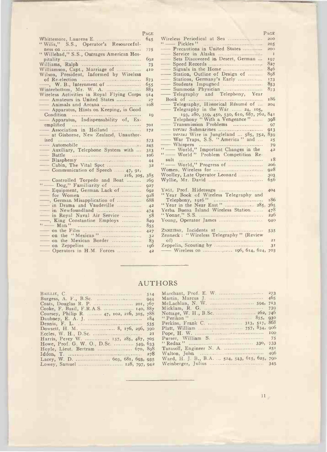|                                                                           | L'AGE           |                                                                                                                                                                                                                                                                                                                                                     |
|---------------------------------------------------------------------------|-----------------|-----------------------------------------------------------------------------------------------------------------------------------------------------------------------------------------------------------------------------------------------------------------------------------------------------------------------------------------------------|
|                                                                           | 645             | Wireles                                                                                                                                                                                                                                                                                                                                             |
|                                                                           |                 |                                                                                                                                                                                                                                                                                                                                                     |
|                                                                           | 775             | $\rightharpoonup$ P                                                                                                                                                                                                                                                                                                                                 |
|                                                                           |                 | $-$ Se<br>$-$ Se                                                                                                                                                                                                                                                                                                                                    |
|                                                                           | 60 <sub>2</sub> | $\frac{1}{\sqrt{2}}$ St                                                                                                                                                                                                                                                                                                                             |
|                                                                           | 73<br>410       | $\overline{\phantom{a}}$ Si                                                                                                                                                                                                                                                                                                                         |
| Williamson, Capt., Marriage of<br>Wilson, President, Informed by Wireless |                 | $\equiv$ St                                                                                                                                                                                                                                                                                                                                         |
|                                                                           | 873             | $-$ St                                                                                                                                                                                                                                                                                                                                              |
| $\overline{\phantom{m}}$ , W. B., Internment of                           | 655             | $-$ St                                                                                                                                                                                                                                                                                                                                              |
| Winterbottom, Mr. W. A.                                                   | 883             | $\equiv$ Si                                                                                                                                                                                                                                                                                                                                         |
| Wireless Activities in Royal Flying Corps                                 | QI4             | $\overline{\phantom{0}}$                                                                                                                                                                                                                                                                                                                            |
| - Amateurs in United States                                               | 27              | Book                                                                                                                                                                                                                                                                                                                                                |
|                                                                           | 108             | $\overline{\phantom{a}}$                                                                                                                                                                                                                                                                                                                            |
| - Apparatus, Hints on Keeping, in Good                                    |                 | $\overline{\phantom{0}}$ T                                                                                                                                                                                                                                                                                                                          |
| Condition                                                                 | IQ              |                                                                                                                                                                                                                                                                                                                                                     |
|                                                                           |                 | $-$ T                                                                                                                                                                                                                                                                                                                                               |
|                                                                           | 70I             | $\overline{\phantom{a}}$ Ti                                                                                                                                                                                                                                                                                                                         |
| - Association in Holland                                                  | 172             | $ ve$                                                                                                                                                                                                                                                                                                                                               |
| -at Gisborne, New Zealand, Unauthor-                                      |                 | $ ve$<br>$-$ W                                                                                                                                                                                                                                                                                                                                      |
|                                                                           | 573             | $-$ W                                                                                                                                                                                                                                                                                                                                               |
| - Auxiliary, Telephone System with                                        | 245<br>313      | $\frac{1}{\sqrt{2}}$                                                                                                                                                                                                                                                                                                                                |
|                                                                           | 106             | $\frac{1}{\sqrt{2}}$                                                                                                                                                                                                                                                                                                                                |
|                                                                           | 44              | sult                                                                                                                                                                                                                                                                                                                                                |
|                                                                           | 3 <sup>2</sup>  | $\begin{picture}(20,20) \put(0,0){\line(1,0){10}} \put(15,0){\line(1,0){10}} \put(15,0){\line(1,0){10}} \put(15,0){\line(1,0){10}} \put(15,0){\line(1,0){10}} \put(15,0){\line(1,0){10}} \put(15,0){\line(1,0){10}} \put(15,0){\line(1,0){10}} \put(15,0){\line(1,0){10}} \put(15,0){\line(1,0){10}} \put(15,0){\line(1,0){10}} \put(15,0){\line(1$ |
| - Communication of Speech  47, 91,                                        |                 | Women                                                                                                                                                                                                                                                                                                                                               |
| 216, 305,                                                                 | 385             | Woolle                                                                                                                                                                                                                                                                                                                                              |
| - Controlled Torpedo and Boat                                             | 26q             | Wyllie,                                                                                                                                                                                                                                                                                                                                             |
| "- Dog," Familiarity of                                                   | Q27             |                                                                                                                                                                                                                                                                                                                                                     |
| - Equipment, German Lack of                                               | <b>692</b>      | YAGI, I                                                                                                                                                                                                                                                                                                                                             |
|                                                                           | 928             | "Year                                                                                                                                                                                                                                                                                                                                               |
| -, German Misapplication of                                               | 688             | Teler                                                                                                                                                                                                                                                                                                                                               |
| - in Drama and Vaudeville                                                 | 4 <sup>2</sup>  | "Year                                                                                                                                                                                                                                                                                                                                               |
| in Newfoundland                                                           | 474             | Yerba<br>"Yonn                                                                                                                                                                                                                                                                                                                                      |
| - in Royal Naval Air Service<br>-, King Constantine Employs               | 58<br>849       | Young,                                                                                                                                                                                                                                                                                                                                              |
|                                                                           | 855             |                                                                                                                                                                                                                                                                                                                                                     |
|                                                                           | 427             | ZANZIB.                                                                                                                                                                                                                                                                                                                                             |
|                                                                           | 32              | Zennec                                                                                                                                                                                                                                                                                                                                              |
| - on the Mexican Border                                                   | 83              | of)                                                                                                                                                                                                                                                                                                                                                 |
|                                                                           | 196             | Zeppeli                                                                                                                                                                                                                                                                                                                                             |
|                                                                           | 4 <sup>2</sup>  | $ W$                                                                                                                                                                                                                                                                                                                                                |
|                                                                           |                 |                                                                                                                                                                                                                                                                                                                                                     |

|                                                                  | PAGE            |  |  |
|------------------------------------------------------------------|-----------------|--|--|
|                                                                  | 200             |  |  |
| $"$ Pickles"                                                     | 205             |  |  |
| - Precautions in United States                                   | 200             |  |  |
|                                                                  | $\blacksquare$  |  |  |
| -Sets Discovered in Desert, German                               | <b>107</b>      |  |  |
|                                                                  | 827             |  |  |
|                                                                  | 846             |  |  |
| Station, Outline of Design of                                    | 898             |  |  |
| -Stations, Germany's Early                                       | 173             |  |  |
| -Students Impugned                                               | 853             |  |  |
| -Summons Physician                                               | 873             |  |  |
| - Telegraphy and Telephony, Year                                 |                 |  |  |
|                                                                  | 186             |  |  |
| - Telegraphy, Historical Résumé of                               | 204             |  |  |
| Telegraphy in the War  24, 105,                                  |                 |  |  |
| 193, 280, 359, 450, 530, 610, 687, 762, 841                      |                 |  |  |
| - Telephony "With a Vengeance"                                   | 308             |  |  |
| Transmission Problems                                            | Q <sub>7</sub>  |  |  |
| versus Submarines                                                | 913             |  |  |
| versus Wire in Jungleland  585, 752,                             | 839             |  |  |
| - War Traps, S.S. "America" and                                  | 25              |  |  |
| "- World," Important Changes in the                              | 79              |  |  |
| "- World" Problem Competition Re-                                | 42              |  |  |
|                                                                  | 18              |  |  |
| "- World," Progress of                                           | 206             |  |  |
|                                                                  | Q <sub>28</sub> |  |  |
| Woolley, Late Operator Leonard                                   | 303             |  |  |
|                                                                  | 656             |  |  |
|                                                                  |                 |  |  |
| YAGI, Prof. Hidetsugu                                            | 404             |  |  |
| "Year Book of Wireless Telegraphy and                            |                 |  |  |
|                                                                  | 186             |  |  |
| "Year in the Near East"  285,                                    | 365             |  |  |
| Yerba Buena Island Wireless Station                              | 478             |  |  |
|                                                                  | 220             |  |  |
|                                                                  | 940             |  |  |
|                                                                  |                 |  |  |
| ZANZIBAR, Incidents at<br>Zenneck: "Wireless Telegraphy" (Review | 535             |  |  |
| of).                                                             | 2I              |  |  |
| Zeppelin, Scouting by Armour                                     | 3 <sub>1</sub>  |  |  |
|                                                                  | 703             |  |  |
|                                                                  |                 |  |  |

#### AUTHORS

|                                            | Marchai  |
|--------------------------------------------|----------|
| 044                                        | Martin.  |
|                                            | McLach   |
|                                            | Micklan  |
| Coursey, Philip R.  47, 102, 216, 305, 788 | Nottage  |
|                                            | "Periko  |
|                                            | Perkins. |
|                                            | Platt, V |
|                                            | Pope, F  |
| Harris, Percy W.  157, 285, 487, 705       | Purser,  |
| Howe, Prof. G. W. O., D.Sc.  549, 633      | "Redax   |
|                                            | Tarasof  |
|                                            | Walton.  |
|                                            | Ward,    |
| Lowey, Samuel  128, 797, 942               | Weinbe   |
|                                            |          |

| 514 |                                               |     |
|-----|-----------------------------------------------|-----|
| 044 |                                               | 465 |
| 767 |                                               |     |
| 887 |                                               | 730 |
| 788 |                                               |     |
| 184 |                                               |     |
| 535 |                                               |     |
| 300 |                                               |     |
| 21  |                                               |     |
| 705 |                                               | 75  |
|     |                                               |     |
| 633 |                                               |     |
| 898 |                                               | 251 |
| 278 |                                               | 406 |
| 935 | Ward, H. J. B., B.A.  524, 543, 615, 625, 790 |     |
| 942 |                                               |     |
|     |                                               |     |

 $11\,$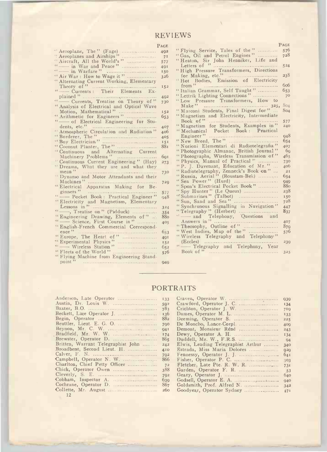#### REVIEWS

|                                                                                                                                                                                                                                                                                                                                                                                                                                                                                                                                                                    | a ave           |                 |
|--------------------------------------------------------------------------------------------------------------------------------------------------------------------------------------------------------------------------------------------------------------------------------------------------------------------------------------------------------------------------------------------------------------------------------------------------------------------------------------------------------------------------------------------------------------------|-----------------|-----------------|
|                                                                                                                                                                                                                                                                                                                                                                                                                                                                                                                                                                    | 492             | (年下)            |
|                                                                                                                                                                                                                                                                                                                                                                                                                                                                                                                                                                    | 71              | " Ga            |
|                                                                                                                                                                                                                                                                                                                                                                                                                                                                                                                                                                    | 577             | "H              |
|                                                                                                                                                                                                                                                                                                                                                                                                                                                                                                                                                                    |                 |                 |
|                                                                                                                                                                                                                                                                                                                                                                                                                                                                                                                                                                    | 40I             | $L_{\epsilon}$  |
|                                                                                                                                                                                                                                                                                                                                                                                                                                                                                                                                                                    | 150             | "Hi             |
| "Air War : How to Wage it"                                                                                                                                                                                                                                                                                                                                                                                                                                                                                                                                         | 326             | fo              |
| " Alternating Current Working, Elementary                                                                                                                                                                                                                                                                                                                                                                                                                                                                                                                          |                 | <sup>64</sup> H |
|                                                                                                                                                                                                                                                                                                                                                                                                                                                                                                                                                                    | 152             | $_{\rm fr}$     |
|                                                                                                                                                                                                                                                                                                                                                                                                                                                                                                                                                                    |                 | $($ Ita         |
|                                                                                                                                                                                                                                                                                                                                                                                                                                                                                                                                                                    |                 | "Le             |
|                                                                                                                                                                                                                                                                                                                                                                                                                                                                                                                                                                    | 492             |                 |
| "- Currents, Treatise on Theory of"                                                                                                                                                                                                                                                                                                                                                                                                                                                                                                                                | 730             | $``$ Lc         |
| "Analysis of Electrical and Optical Wave                                                                                                                                                                                                                                                                                                                                                                                                                                                                                                                           |                 | М               |
|                                                                                                                                                                                                                                                                                                                                                                                                                                                                                                                                                                    | 152             | " M             |
|                                                                                                                                                                                                                                                                                                                                                                                                                                                                                                                                                                    | 653             | " M             |
| "-of Electrical Engineering for Stu-                                                                                                                                                                                                                                                                                                                                                                                                                                                                                                                               |                 | B <sub>0</sub>  |
|                                                                                                                                                                                                                                                                                                                                                                                                                                                                                                                                                                    | 407             | " M             |
| " Atmospheric Circulation and Radiation"                                                                                                                                                                                                                                                                                                                                                                                                                                                                                                                           | 406             | " M             |
|                                                                                                                                                                                                                                                                                                                                                                                                                                                                                                                                                                    |                 | Er              |
|                                                                                                                                                                                                                                                                                                                                                                                                                                                                                                                                                                    | 405             |                 |
| "Borderer, The"<br>"Boy Electrician"                                                                                                                                                                                                                                                                                                                                                                                                                                                                                                                               | 151             | $\sim N$        |
|                                                                                                                                                                                                                                                                                                                                                                                                                                                                                                                                                                    | 88 <sub>I</sub> | $\frac{1}{N}$   |
| "Continuous and Alternating Current                                                                                                                                                                                                                                                                                                                                                                                                                                                                                                                                |                 | $\lq\lq$ Pl     |
|                                                                                                                                                                                                                                                                                                                                                                                                                                                                                                                                                                    | бот             | "P              |
|                                                                                                                                                                                                                                                                                                                                                                                                                                                                                                                                                                    | 273             | $\{G, P\}$      |
| "'Dreams, What they are and what they                                                                                                                                                                                                                                                                                                                                                                                                                                                                                                                              |                 | <sup>"</sup> P. |
| mean"                                                                                                                                                                                                                                                                                                                                                                                                                                                                                                                                                              |                 | $($ R           |
|                                                                                                                                                                                                                                                                                                                                                                                                                                                                                                                                                                    | 730             | 66 Rt           |
|                                                                                                                                                                                                                                                                                                                                                                                                                                                                                                                                                                    |                 | "Se             |
|                                                                                                                                                                                                                                                                                                                                                                                                                                                                                                                                                                    | 720             |                 |
| "Electrical Apparatus Making for Be-                                                                                                                                                                                                                                                                                                                                                                                                                                                                                                                               |                 | " Sp            |
| ginners" (Communication of the Practical Engineer")                                                                                                                                                                                                                                                                                                                                                                                                                                                                                                                | 577             | " Sp            |
|                                                                                                                                                                                                                                                                                                                                                                                                                                                                                                                                                                    | 948             | 55              |
| "Electricity and Magnetism, Elementary                                                                                                                                                                                                                                                                                                                                                                                                                                                                                                                             |                 | " Su            |
| Lessons in"                                                                                                                                                                                                                                                                                                                                                                                                                                                                                                                                                        | 324             | 45              |
|                                                                                                                                                                                                                                                                                                                                                                                                                                                                                                                                                                    |                 | $"$ Te          |
|                                                                                                                                                                                                                                                                                                                                                                                                                                                                                                                                                                    | 354<br>880      | $\epsilon$      |
| "Engineering Drawing, Elements of"                                                                                                                                                                                                                                                                                                                                                                                                                                                                                                                                 |                 |                 |
|                                                                                                                                                                                                                                                                                                                                                                                                                                                                                                                                                                    | 405             | A <sub>1</sub>  |
| "English-French Commercial Correspond-                                                                                                                                                                                                                                                                                                                                                                                                                                                                                                                             |                 | "TI             |
|                                                                                                                                                                                                                                                                                                                                                                                                                                                                                                                                                                    | 653             | " W             |
| ence" Lurope, The Heart of"                                                                                                                                                                                                                                                                                                                                                                                                                                                                                                                                        | 40I             | "W              |
|                                                                                                                                                                                                                                                                                                                                                                                                                                                                                                                                                                    | 152             | (E)             |
|                                                                                                                                                                                                                                                                                                                                                                                                                                                                                                                                                                    | 652             | 56              |
| " Experimental Physics"<br>" Wireless Station"<br>" Fleets of the World"                                                                                                                                                                                                                                                                                                                                                                                                                                                                                           | 576             | B <sub>0</sub>  |
| "Flying Machine from Engineering Stand-                                                                                                                                                                                                                                                                                                                                                                                                                                                                                                                            |                 |                 |
|                                                                                                                                                                                                                                                                                                                                                                                                                                                                                                                                                                    |                 |                 |
| point"<br>$\begin{minipage}{0.5\textwidth} \begin{minipage}{0.5\textwidth} \centering \begin{minipage}{0.5\textwidth} \centering \end{minipage} \begin{minipage}{0.5\textwidth} \centering \begin{minipage}{0.5\textwidth} \centering \end{minipage} \end{minipage} \begin{minipage}{0.5\textwidth} \centering \begin{minipage}{0.5\textwidth} \centering \end{minipage} \end{minipage} \begin{minipage}{0.5\textwidth} \centering \begin{minipage}{0.5\textwidth} \centering \end{minipage} \end{minipage} \begin{minipage}{0.5\textwidth} \centering \begin{min$ | 949             |                 |

| PAGE |                                          | PAGE       |  |
|------|------------------------------------------|------------|--|
| 492  |                                          | 576        |  |
| 71   |                                          | 728        |  |
|      |                                          |            |  |
| 577  |                                          | 524        |  |
| 491  | "High Pressure Transformers, Directions  |            |  |
| 150  |                                          |            |  |
| 326  |                                          | 238        |  |
|      | "Hot Bodies, Emission of Electricity     |            |  |
| 152  | from <sup>''</sup>                       | 606        |  |
|      | "Italian Grammar, Self Taught"           | 653        |  |
| 492  | "Lettrik Lighting Connections"           | 70         |  |
| 730  | "Low Pressure Transformers, How to       |            |  |
|      | Make"                                    | 804        |  |
| 152  | "Marconi Students, Final Digest for"     | 804        |  |
| 653  | "Magnetism and Electricity, Intermediate |            |  |
|      |                                          | 577        |  |
| 407  |                                          | 240        |  |
| 406  | "Mechamical Pocket Book: Practical       |            |  |
| 405  |                                          | 948        |  |
| 15I  |                                          | 654        |  |
| 881  | "Nozioni Elementari di Radiotelegrafia"  | 407        |  |
|      | "Photographic Almanac, British Journal"  | 6a         |  |
| бот  | "Photographs, Wireless Transmission of"  | 465        |  |
|      | "Physics, Manual of Practical"           | 730        |  |
| 273  | "P. J. Davenant, Education of Mr."       | 406        |  |
|      | "Radiotelegraphy, Zenneck's Book on"     | 2I         |  |
| 730  | "Russia, Aerial" (Roustam-Bek)           | 654        |  |
|      |                                          |            |  |
| 720  |                                          | 949<br>880 |  |
|      | "Spon's Electrical Pocket Book"          |            |  |
| 577  | "Spy Hunter" (Le Queux)                  | 238        |  |
| 948  | "Submarines" (Talbot)                    | 150        |  |
|      |                                          | 728        |  |
| 324  | "Synchronous Signalling in Navigation"   | 447        |  |
| 354  |                                          | 837        |  |
| 880  | "-and Telephony, Questions and           |            |  |
| 405  |                                          | 407        |  |
|      | "Theosophy, Outline of"                  | 870        |  |
| 653  | "West Indies, Map of the"                | 576        |  |
| 40I  | "Wireless Telegraphy and Telephony"      |            |  |
| 152  | (Eccles)                                 | 239        |  |
| 652  | "- Telegraphy and Telephony, Year        |            |  |
| 576  |                                          | 325        |  |
|      |                                          |            |  |

#### PORTRAITS

| 133                          | 939                                                                                                                                          |
|------------------------------|----------------------------------------------------------------------------------------------------------------------------------------------|
| 592                          | 134                                                                                                                                          |
| 783                          | 71Q                                                                                                                                          |
| 136                          | 133                                                                                                                                          |
| 882                          | 225                                                                                                                                          |
| 700                          | 400                                                                                                                                          |
| Q4I                          | 243                                                                                                                                          |
| I74                          | 134                                                                                                                                          |
| 865                          | $Q_4$                                                                                                                                        |
| 242                          | 340                                                                                                                                          |
| 410                          | Q2Q                                                                                                                                          |
| 702                          | 04I                                                                                                                                          |
| 866                          | 303                                                                                                                                          |
| 72                           | 7.31                                                                                                                                         |
| Chick, Operator Owen<br>388  | 53                                                                                                                                           |
| 702                          | 040                                                                                                                                          |
| Cobham, Inspector A.<br>630  | 040                                                                                                                                          |
| Cochrane, Operator D.<br>867 | 342                                                                                                                                          |
| 260                          |                                                                                                                                              |
|                              |                                                                                                                                              |
|                              | Crichton, Operator J. W.<br>Demont, Monsieur Réné<br>Elwis, Leading Telegraphist Arthur<br>Estrada, Miss Maria Dolores<br>Geary, Operator J. |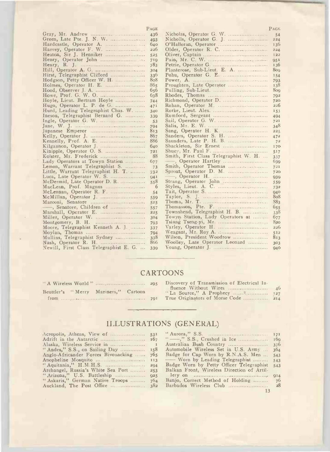|                                                                                                                                                                                                 | 43(             |
|-------------------------------------------------------------------------------------------------------------------------------------------------------------------------------------------------|-----------------|
|                                                                                                                                                                                                 | 493             |
|                                                                                                                                                                                                 | 640             |
|                                                                                                                                                                                                 | 226             |
|                                                                                                                                                                                                 | 52!             |
|                                                                                                                                                                                                 | 710             |
|                                                                                                                                                                                                 | 78.             |
|                                                                                                                                                                                                 | 304             |
|                                                                                                                                                                                                 | 33 <sup>6</sup> |
| Hodgson, Petty Officer W. H.                                                                                                                                                                    | 8 <sub>o</sub>  |
|                                                                                                                                                                                                 | 86              |
|                                                                                                                                                                                                 | 656             |
|                                                                                                                                                                                                 | 638             |
| Hoyle, Lieut. Bertram Hoyle                                                                                                                                                                     | $74-$           |
| Hugo, Operator L. P. de G.                                                                                                                                                                      | 471             |
| Hurd, Leading Telegraphist Chas. W.                                                                                                                                                             | 340             |
| Ineson, Telegraphist Bernard G.                                                                                                                                                                 | 330             |
|                                                                                                                                                                                                 | 5:              |
|                                                                                                                                                                                                 | 794             |
|                                                                                                                                                                                                 | 81:             |
|                                                                                                                                                                                                 | 86;             |
| Kennelly, Prof. A. E.                                                                                                                                                                           | 886             |
| Kilgannon, Operator J.<br>Kinipple, Operator O. S.                                                                                                                                              | 640             |
|                                                                                                                                                                                                 | 721             |
|                                                                                                                                                                                                 | 88              |
| Lady Operators at Towyn Station                                                                                                                                                                 | 67:             |
|                                                                                                                                                                                                 | 7:              |
|                                                                                                                                                                                                 | 73 <sup>2</sup> |
| Luca, Late Operator W. S.                                                                                                                                                                       | 94              |
| McDermid, Late Operator D. R.                                                                                                                                                                   | 55 <sup>8</sup> |
|                                                                                                                                                                                                 | $\mathcal{L}$   |
|                                                                                                                                                                                                 | 54              |
|                                                                                                                                                                                                 | 559             |
|                                                                                                                                                                                                 | 52!             |
|                                                                                                                                                                                                 | 55              |
|                                                                                                                                                                                                 | 22              |
|                                                                                                                                                                                                 | 304             |
|                                                                                                                                                                                                 | 793             |
|                                                                                                                                                                                                 | 33 <sub>1</sub> |
|                                                                                                                                                                                                 | 794             |
|                                                                                                                                                                                                 | 33 <sup>8</sup> |
|                                                                                                                                                                                                 | 866             |
| Montgomery, B. H.<br>Montgomery, B. H.<br>Moore, Telegraphist Kenneth A. J.<br>Moylan, Thomas<br>Mullins, Telegraphist Sydney<br>Nash, Operator R. H.<br>Newill, First Class Telegraphist E. G. | 330             |

|                                        | PAGE            |                                       | PAGE            |  |
|----------------------------------------|-----------------|---------------------------------------|-----------------|--|
|                                        | 436             |                                       | 54              |  |
|                                        | 493             |                                       | 224             |  |
|                                        | 640             |                                       | 130             |  |
|                                        | 226             |                                       | 224             |  |
|                                        | 525             |                                       | 122             |  |
|                                        | 719             |                                       | 95I             |  |
|                                        | 783             |                                       | 136             |  |
|                                        | 304             | Planterose, Sub-Lieut. E. A.          | 800             |  |
| Hirst, Telegraphist Clifford           | 336             | Pohu, Operator G. E.                  | 154             |  |
| Hodgson, Petty Officer W. H.           | 808             |                                       | 793             |  |
|                                        | 86 <sub>5</sub> |                                       | 138             |  |
|                                        | 656             |                                       | 8og             |  |
|                                        | 638             |                                       | 792             |  |
| Hoyle, Lieut. Bertram Hoyle            | 744             |                                       | 720             |  |
|                                        | 47 <sup>1</sup> |                                       | 226             |  |
| Hurd, Leading Telegraphist Chas. W.    | 340             |                                       | 153             |  |
| Ineson, Telegraphist Bernard G.        | 339             |                                       | 494             |  |
|                                        | 53              |                                       | 721             |  |
|                                        | 794             |                                       | 348             |  |
|                                        | 813             |                                       | 225             |  |
|                                        | 867             |                                       | 472             |  |
|                                        | 886             |                                       | 72              |  |
|                                        | 040             |                                       | 170             |  |
|                                        | 721             |                                       | 517             |  |
| Kolster, Mr. Frederick                 | 88              | Smith, First Class Telegraphist W. H. | 337             |  |
| Lady Operators at Towyn Station        | 677             |                                       | 0.30            |  |
| Lemon, Warrant Telegraphist S.         | 73              |                                       | 721             |  |
| Little, Warrant Telegraphist H. T.     | 732             |                                       | 720             |  |
| Luca, Late Operator W. S.              | 041             |                                       | 939             |  |
| McDermid, Late Operator D. R.          | 558             |                                       | 559             |  |
| MacLean, Prof. Magnus                  | $\ddot{\circ}$  |                                       | 732             |  |
|                                        | 54              |                                       | <b>Q40</b>      |  |
|                                        | 559             |                                       | 808             |  |
|                                        | 525             |                                       | 88 <sub>3</sub> |  |
|                                        | 557             |                                       | 055             |  |
|                                        | 225             | Townshend, Telegraphist H. B.         | 338             |  |
|                                        | 304             | Towyn Station, Lady Operators at      | 677             |  |
| Montgomery, B. H.                      | 793             |                                       | 820             |  |
| Moore, Telegraphist Kenneth A. J.      | 337             |                                       | 226             |  |
|                                        | 794             |                                       | 512             |  |
| Mullins, Telegraphist Sydney           | 338             | Wilson, President Woodrow             | 813             |  |
|                                        | 866             | Woolley, Late Operator Leonard        | 303             |  |
| Newill, First Class Telegraphist E. G. | 339             |                                       | 940             |  |

#### CARTOONS

|                                      | Discovery of Transmission of Electrical In- |  |
|--------------------------------------|---------------------------------------------|--|
| Beuttler's "Merry Mariners," Cartoon |                                             |  |
|                                      |                                             |  |

### ILLUSTRATIONS (GENERAL)

| Anglo-Africander Forces Bivouacking     | 705 | Badge for Cap Worn by R.N.A.S. Men           | 543 |
|-----------------------------------------|-----|----------------------------------------------|-----|
|                                         | 113 | - Worn by Leading Telegraphist               | 543 |
|                                         | 204 | Badge Worn by Petty Officer Telegraphist 543 |     |
| Archangel, Russia's White Sea Port  253 |     | Balkan Front, Wireless Direction of Artil-   |     |
|                                         |     |                                              |     |
|                                         |     |                                              |     |
|                                         |     |                                              |     |
|                                         |     |                                              |     |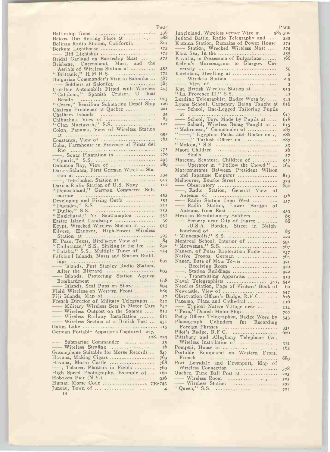|                                            | $P$ age         |                                            |
|--------------------------------------------|-----------------|--------------------------------------------|
|                                            | 336             | Jungleland, Wireless versus Wire in  58    |
| Beicos, Our Resting Place at               | 288             | Jutland Battle, Radio Telegraphy and       |
| Bolinas Radio Station, California          | 817             | Kamina Station, Remains of Power House     |
|                                            |                 |                                            |
|                                            | 173             | -Station, Wrecked Wireless Mast            |
|                                            | 173             |                                            |
| Bridal Garland on Battleship Mast          | 575             | Kavalla, in Possession of Bulgarians       |
| Brisbane, Queensland, Mast, and the        |                 | Kelvin's Marconigram to Glasgow Uni-       |
| Aerials of Wireless Station at             | 455             |                                            |
|                                            |                 |                                            |
|                                            | 774             |                                            |
| Bulgarian Commander's Visit to Salonika    | 307             |                                            |
| Soldiers at Salonika                       | 365             |                                            |
| Cadillac Automobile Fitted with Wireless   | 245             | Kut, British Wireless Station at           |
| "Cataluna," Spanish Cruiser, U Boat        |                 |                                            |
|                                            |                 |                                            |
| <b>Beside</b>                              | 613             | Leading Telegraphist, Badge Worn by        |
| "Ceara," Brazilian Submarine Depôt Ship    | 12 <sub>0</sub> | Lyons School, Carpentry Being Taught at    |
| Chateau Frontenac at Quebec                | <b>201</b>      | - School, One-Legged Tailoring Pupils      |
|                                            | 34              | $at$                                       |
|                                            | 8 <sub>3</sub>  |                                            |
|                                            |                 | -School, Toys Made by Pupils at            |
|                                            | <b>I22</b>      | -School, Wireless Being Taught at          |
| Colon, Panama, View of Wireless Station    |                 | "Mahroussa," Commander of                  |
|                                            | 952             |                                            |
|                                            | 763             |                                            |
|                                            |                 |                                            |
| Cuba, Farmhouse in Province of Pinar del   |                 |                                            |
|                                            | 771             |                                            |
|                                            | 770             | —— Skulls                                  |
|                                            | 293             | Marconi, Senatore, Children of             |
| Dalamon Bay, View of                       | 289             | - Operator in "Follow the Crowd"           |
|                                            |                 |                                            |
| Dar-es-Salaam, First German Wireless Sta-  |                 | Marconigrams Between President Wilson      |
|                                            | 534             |                                            |
| - Telefunken Station at                    | 917             | Melbourne, Bourke Street                   |
| Darien Radio Station of U.S. Navy          | 112             |                                            |
|                                            |                 |                                            |
| "Deutschland," German Commerce Sub-        |                 | -, Radio Station, General View of          |
|                                            | 453             |                                            |
| Developing and Fixing Outfit               | 157             | -Radio Station from West                   |
| "Duendes," S.S.                            | 211             | - Radio Station, Lower Portion of          |
|                                            | 213             |                                            |
|                                            |                 |                                            |
| "Eaglehurst," Nr. Southampton              | 557             | Mexican Revolutionary Soldiers             |
| Easter Island Landscape                    | 30              | -Scenery near City of Juarez               |
| Egypt, Wrecked Wireless Station in         | 915             | - -U.S.A. Border, Street in Neigh-         |
| Eilvese, Hanover, High-Power Wireless      |                 |                                            |
|                                            | 505             |                                            |
|                                            |                 |                                            |
| El Paso, Texas, Bird's-eye View of         | 84              | Montreal School, Interior of               |
| "Endurance," S.S., Sinking in the Ice      | 832             |                                            |
| "Falaba," S.S., Multiple Tuner of          | 244             | Nansen, of Polar Exploration Fame          |
| Falkland Islands, Masts and Station Build- |                 | Native Troops, German                      |
|                                            | 697             | Nauen, Base of Main Tower                  |
| - Islands, Port Stanley Radio Station,     |                 |                                            |
|                                            |                 |                                            |
|                                            | 695             |                                            |
| - Islands, Protecting Station Against      |                 | -, Transmitting Apparatus                  |
|                                            | 608             |                                            |
| Islands, Seal Pups on Shore                | 604             | Needles Station, Page of Visitors' Book of |
| Field Wireless on Western Front            | 68 <sub>0</sub> |                                            |
|                                            | 57              | Observation Officer's Badge, R.F.C.        |
|                                            |                 |                                            |
| French Director of Military Telegraphs     | 842             | Panama, Plaza and Cathedral                |
| - Military Wireless Sets in Motor Cars     | 342             | - Typical Native Village near              |
| - Wireless Outpost on the Somme            | 612             | "Peru," Danish Motor Ship                  |
| - Wireless Railway Installation            | 911             | Petty Officer Telegraphist, Badge Worn by  |
| - Wireless Section at a British Post       | 451             |                                            |
|                                            |                 | Phonograph Cylinders for Recording         |
|                                            |                 |                                            |
| German Portable Apparatus Captured 227,    |                 |                                            |
|                                            | 228, 220        | Pittsburg and Alleghany Telephone Co.,     |
| -Submarine Commander                       | 25              | Wireless Installation of                   |
|                                            | 26              |                                            |
|                                            |                 |                                            |
| Gramophone Suitable for Morse Records      | 847             | Portable Equipment on Western Front,       |
|                                            | 760             | $\bf{F}$ rench                             |
|                                            | 768             | Port Lonsdale and Devonport, Map of        |
| -, Tobacoo Planters in Fields              | 769             |                                            |
| High Speed Photography, Example of         | 160             |                                            |
|                                            |                 |                                            |
|                                            | 920             |                                            |
|                                            |                 |                                            |
|                                            | $\overline{4}$  |                                            |
| 14                                         |                 |                                            |

|                                                                          | PAGE            |                                              | PAGE       |  |
|--------------------------------------------------------------------------|-----------------|----------------------------------------------|------------|--|
|                                                                          | 330             | Jungleland, Wireless versus Wire in  585-590 |            |  |
|                                                                          | 288             |                                              |            |  |
| Beicos, Our Resting Place at                                             |                 | Jutland Battle, Radio Telegraphy and         | 335        |  |
| Bolinas Radio Station, California                                        | 817             | Kamina Station, Remains of Power House       | 574        |  |
|                                                                          | 173             | - Station, Wrecked Wireless Mast             | 574        |  |
|                                                                          | 173             |                                              | 255        |  |
| Bridal Garland on Battleship Mast                                        | 575             | Kavalla, in Possession of Bulgarians         | 366        |  |
|                                                                          |                 | Kelvin's Marconigram to Glasgow Uni-         |            |  |
| Brisbane, Queensland, Mast, and the                                      |                 |                                              |            |  |
| Aerials of Wireless Station at                                           | 455             |                                              | 59         |  |
| "Brittanic," H.M.H.S.                                                    | 774             |                                              | 5          |  |
| Bulgarian Commander's Visit to Salonika                                  | 307             |                                              | $2 - 5$    |  |
| - Soldiers at Salonika                                                   | 305             |                                              | 3          |  |
| Cadillac Automobile Fitted with Wireless                                 | 245             | Kut, British Wireless Station at             |            |  |
|                                                                          |                 |                                              | 913        |  |
| "Cataluna," Spanish Cruiser, U Boat                                      |                 |                                              | 4I         |  |
| <b>Beside</b>                                                            | 613             | Leading Telegraphist, Badge Worn by          | 543        |  |
| "Ceara," Brazilian Submarine Depôt Ship                                  | 12 <sub>0</sub> | Lyons School, Carpentry Being Taught at      | 616        |  |
| Chateau Frontenac at Quebec                                              | <b>201</b>      | -School, One-Legged Tailoring Pupils         |            |  |
|                                                                          | 34              |                                              | 617        |  |
|                                                                          | 8 <sub>3</sub>  | -School, Toys Made by Pupils at              | 618        |  |
|                                                                          |                 |                                              |            |  |
|                                                                          | 122             | -School, Wireless Being Taught at            | 615        |  |
| Colon, Panama, View of Wireless Station                                  |                 | "Mahroussa," Commander of                    | 287        |  |
|                                                                          | 952             | "-"," Egyptian Pasha and Doctor on           | 286        |  |
|                                                                          | 703             |                                              | 287        |  |
| Cuba, Farmhouse in Province of Pinar del                                 |                 |                                              | 39         |  |
|                                                                          | 77I             |                                              |            |  |
|                                                                          |                 |                                              | 36         |  |
| -, Sugar Plantation in                                                   | 770             | —— Skulls                                    | 37         |  |
|                                                                          | 293             | Marconi, Senatore, Children of               | 557        |  |
|                                                                          | 289             | - Operator in "Follow the Crowd"             | 164        |  |
| Dar-es-Salaam, First German Wireless Sta-                                |                 | Marconigrams Between President Wilson        |            |  |
|                                                                          | 534             |                                              | 813        |  |
| Telefunken Station at                                                    | 917             | Melbourne, Bourke Street                     |            |  |
|                                                                          | 112             |                                              | 379        |  |
| Darien Radio Station of U.S. Navy                                        |                 |                                              | 890        |  |
| "Deutschland," German Commerce Sub-                                      |                 | -, Radio Station, General View of            |            |  |
|                                                                          | 453             |                                              | 450        |  |
| Developing and Fixing Outfit                                             | 157             | -Radio Station from West                     | 457        |  |
| "Duendes," S.S.                                                          | 211             | - Radio Station, Lower Portion of            |            |  |
|                                                                          | 213             | Antenna from East                            | 459        |  |
| "Eaglehurst," Nr. Southampton                                            | 557             | Mexican Revolutionary Soldiers               |            |  |
| Easter Island Landscape                                                  |                 |                                              | 85         |  |
|                                                                          | 30              | -Scenery near City of Juarez                 | 86         |  |
| Egypt, Wrecked Wireless Station in                                       | 915             | -- -U.S.A. Border, Street in Neigh-          |            |  |
| Eilvese, Hanover, High-Power Wireless                                    |                 |                                              | 85         |  |
|                                                                          | 505             |                                              | <b>I20</b> |  |
| El Paso, Texas, Bird's-eye View of                                       | 84              | Montreal School, Interior of                 | 591        |  |
| $\lq$ Endurance," S.S., Sinking in the Ice                               | 832             |                                              | 707        |  |
| "Falaba," S.S., Multiple Tuner of                                        | 244             | Nansen, of Polar Exploration Fame            |            |  |
| Falkland Islands, Masts and Station Build-                               |                 |                                              | 257        |  |
|                                                                          |                 |                                              | 704        |  |
|                                                                          | 697             | Nauen, Base of Main Tower                    | Q2I        |  |
| - Islands, Port Stanley Radio Station,                                   |                 |                                              | 920        |  |
|                                                                          | 095             |                                              | 922        |  |
| - Islands, Protecting Station Against                                    |                 | -, Transmitting Apparatus                    | 919        |  |
|                                                                          | 608             |                                              | 542        |  |
| - Islands, Seal Pups on Shore                                            | 694             | Needles Station, Page of Visitors' Book of   | 60         |  |
| Field Wireless on Western Front                                          | 689             |                                              |            |  |
| Fiji Islands, Map of                                                     | 57              | Observation Officer's Badge, R.F.C.          | 547        |  |
|                                                                          |                 |                                              | 626        |  |
| French Director of Military Telegraphs                                   | 842             | Panama, Plaza and Cathedral                  | 110        |  |
| - Military Wireless Sets in Motor Cars                                   | 342             | - Typical Native Village near                | <b>II4</b> |  |
|                                                                          | 612             | "Peru," Danish Motor Ship                    | 700        |  |
| Wireless Outpost on the Somme  612<br>Wireless Railway Installation  611 |                 | Petty Officer Telegraphist, Badge Worn by    | 543        |  |
| - Wireless Section at a British Post                                     | 451             | Phonograph Cylinders for Recording           |            |  |
|                                                                          |                 |                                              |            |  |
| German Portable Apparatus Captured 227,                                  |                 |                                              | 331        |  |
|                                                                          |                 |                                              | 626        |  |
|                                                                          | 228, 220        | Pittsburg and Alleghany Telephone Co.,       |            |  |
|                                                                          | 25              | Wireless Installation of                     | 314        |  |
| Submarine Commander<br>Wireless Strafing                                 | 26              |                                              | 162        |  |
| Gramophone Suitable for Morse Records                                    | 847             | Portable Equipment on Western Front,         |            |  |
| Havana, Making Cigars                                                    | 769             |                                              | 680        |  |
| Havana, Morro Castle                                                     | 768             | Port Lonsdale and Devonport, Map of          |            |  |
|                                                                          |                 |                                              |            |  |
| -, Tobacco Planters in Fields                                            | 769             |                                              | 378        |  |
| High Speed Photography, Example of                                       | 160             | Quebec, Time Ball Post at                    | 203        |  |
|                                                                          | 92 <sub>0</sub> |                                              | 203        |  |
|                                                                          |                 |                                              | 202        |  |
|                                                                          | $\overline{4}$  |                                              | 701        |  |
|                                                                          |                 |                                              |            |  |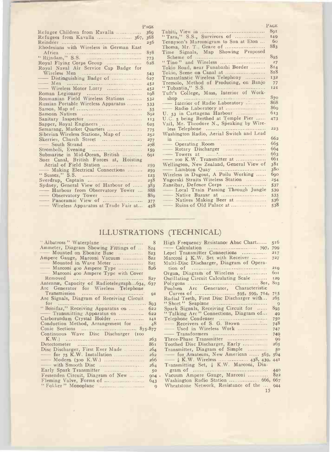|                                         | PAGE            |                   |
|-----------------------------------------|-----------------|-------------------|
| Refugee Children from Ravalla           | 36 <sub>9</sub> | Tahiti,           |
|                                         | 368             | "Tara             |
|                                         | 256             | Tenny             |
|                                         |                 | Thoma             |
|                                         | 878             | Time              |
| Africa<br>"Rijndam," S.S.               |                 | Sche              |
|                                         | 773             | "Tinc             |
| Royal Flying Corps Group                | 628             |                   |
| Royal Naval Air Service Cap Badge for   |                 | Tokio             |
| Wireless Men                            | 543             | Tokio,            |
|                                         | 627             | Transa            |
|                                         | 452             | Tremo             |
|                                         | 452             | "Tub:             |
|                                         | 108             | Tuft's            |
| Roumanian Field Wireless Stations       | 532             | shop              |
| Russian Portable Wireless Apparatus     | 533             | $-1$              |
|                                         | 55              | $-$ F             |
|                                         | 8 <sub>02</sub> | U.53              |
|                                         | 113             | U.C. :            |
|                                         | 625             | Vail,             |
| Semarang, Market Quarters               | 775             | less              |
| Siberian Wireless Stations, Map of      | 252             | Washi             |
| Skerries, Church Street                 | 277             | in.               |
|                                         | 278             | $-$ (             |
|                                         | 159             | $-$ F             |
| Submarine in Mid-Ocean, British         | 60I             | $-1$              |
| Suez Canal, British Forces at, Hoisting |                 | $-1$              |
|                                         |                 | Wellin            |
| Aërial of Field Station                 | 259             | $-1$              |
| - Making Electrical Connections         | 259             |                   |
|                                         | 123             | Wirele            |
|                                         | 258             | Yugor             |
| Sydney, General View of Harbour of      | 383             | Zanzib            |
| - Harbour from Observatory Tower        | 888             | $\equiv$ $\equiv$ |
|                                         | 88 <sub>Q</sub> | $\qquad \qquad$ I |
|                                         | 377             | $-1$              |
| - Wireless Apparatus at Trade Fair at   | 458             | $-$ 1             |
|                                         |                 |                   |

| AGE        |                                                             | $-$ PAGE |   |
|------------|-------------------------------------------------------------|----------|---|
| 36g        |                                                             | 8qI      |   |
| 368        |                                                             | 140      |   |
| 256        | Tennyson's Marconigram to Son at Eton                       | - 60     |   |
|            |                                                             | 883      |   |
| 878        | Time Signals, Map Showing Proposed                          |          |   |
|            |                                                             | 895      |   |
| 773<br>628 | "Tino" and Wireless                                         | 27       |   |
|            | Tokio Road, near Funabashi Border                           | 814      |   |
|            |                                                             | 818      |   |
| 543        | Transatlantic Wireless Telephony                            | I32      |   |
| 627        | Tremolo, Method of Producing, on Banjo                      | 77       |   |
| 452        |                                                             | I2I      |   |
| 452        | "Tubantia," S.S.<br>Tuft's College, Mass, Interior of Work- |          |   |
| 198        |                                                             | 870      |   |
| 532        | shop<br>- Interior of Radio Laboratory                      | 868      |   |
| 533        |                                                             | 86a      |   |
| 55         |                                                             | 613      |   |
| 802        | U. 53 in Cartagena Harbour                                  | 473      |   |
| 113        | U.C. 5 being Berthed at Temple Pier                         |          |   |
| 625        | Vail, Mr. Theodore N., Speaking by Wire-                    |          |   |
| 775        |                                                             | 223      |   |
| 252        | Washington Radio, Aerial Switch and Lead                    |          |   |
| 277        | in                                                          | 662      |   |
| 278        |                                                             | 665      |   |
| 159        |                                                             | 664      |   |
| 601        |                                                             | 663      |   |
|            | - roo K.W. Transmitter at                                   | 661      |   |
| 250        | Wellington, New Zealand, General View of                    | 381      |   |
| 259        | - Lambton Quay                                              | 380      |   |
| 123        | Wireless in Dugout, A Poilu Working                         | 690      |   |
| 258        | Yugorski Straits Wireless Station                           | 254      |   |
| 383        | Zanzibar, Defence Corps                                     | 537      | ۳ |
| 888        | Local Train Passing Through Jungle                          | 539      |   |
| <b>88g</b> |                                                             | 535      |   |
| 377        | -Natives Making Beer at                                     | 536      |   |
| 458        |                                                             | 538      |   |
|            |                                                             |          |   |

### ILLUSTRATIONS (TECHNICAL)

| Ammeter, Diagram Showing Fittings of<br>824<br>- Mounted on Ebonite Base<br>823<br>Ampere Gauge, Marconi Vacuum<br>822<br>- Mounted in Wave Meter<br>825<br>$\longrightarrow$ Marconi 400 Ampere Type<br>826<br>Marconi 400 Ampere Type with Cover<br>Removed<br>827<br>Antennae, Capacity of Radiotelegraph634,<br>.637<br>Arc Generator for Wireless Telephone<br>Transmission<br>.<br>.<br>QI<br>Arc Signals, Diagram of Receiving Circuit<br>for<br>893<br>"Bonifaz," Receiving Apparatus on<br>622<br>Transmitting Apparatus on<br>622<br>Carborundum Crystal Holder<br><b>141</b><br>Conduction Method, Arrangement for<br>48<br>Continuous Wave Disc Discharger (100<br>263<br>861<br>Disc Discharger, First Ever Made<br>264<br>262<br>266 | $\overline{\phantom{a}}$ Ca<br>Lepel 1<br>Marconi<br>Multi-D<br>tion o<br>Organ,<br>Oscillat<br>Polygor<br>Poulsen |
|----------------------------------------------------------------------------------------------------------------------------------------------------------------------------------------------------------------------------------------------------------------------------------------------------------------------------------------------------------------------------------------------------------------------------------------------------------------------------------------------------------------------------------------------------------------------------------------------------------------------------------------------------------------------------------------------------------------------------------------------------|--------------------------------------------------------------------------------------------------------------------|
|                                                                                                                                                                                                                                                                                                                                                                                                                                                                                                                                                                                                                                                                                                                                                    |                                                                                                                    |
|                                                                                                                                                                                                                                                                                                                                                                                                                                                                                                                                                                                                                                                                                                                                                    |                                                                                                                    |
|                                                                                                                                                                                                                                                                                                                                                                                                                                                                                                                                                                                                                                                                                                                                                    |                                                                                                                    |
|                                                                                                                                                                                                                                                                                                                                                                                                                                                                                                                                                                                                                                                                                                                                                    |                                                                                                                    |
|                                                                                                                                                                                                                                                                                                                                                                                                                                                                                                                                                                                                                                                                                                                                                    |                                                                                                                    |
|                                                                                                                                                                                                                                                                                                                                                                                                                                                                                                                                                                                                                                                                                                                                                    |                                                                                                                    |
|                                                                                                                                                                                                                                                                                                                                                                                                                                                                                                                                                                                                                                                                                                                                                    |                                                                                                                    |
|                                                                                                                                                                                                                                                                                                                                                                                                                                                                                                                                                                                                                                                                                                                                                    |                                                                                                                    |
|                                                                                                                                                                                                                                                                                                                                                                                                                                                                                                                                                                                                                                                                                                                                                    |                                                                                                                    |
|                                                                                                                                                                                                                                                                                                                                                                                                                                                                                                                                                                                                                                                                                                                                                    | Curve                                                                                                              |
|                                                                                                                                                                                                                                                                                                                                                                                                                                                                                                                                                                                                                                                                                                                                                    | Radial                                                                                                             |
|                                                                                                                                                                                                                                                                                                                                                                                                                                                                                                                                                                                                                                                                                                                                                    | " Short                                                                                                            |
|                                                                                                                                                                                                                                                                                                                                                                                                                                                                                                                                                                                                                                                                                                                                                    | Spark S                                                                                                            |
|                                                                                                                                                                                                                                                                                                                                                                                                                                                                                                                                                                                                                                                                                                                                                    | "Talki:                                                                                                            |
|                                                                                                                                                                                                                                                                                                                                                                                                                                                                                                                                                                                                                                                                                                                                                    | Telepho                                                                                                            |
|                                                                                                                                                                                                                                                                                                                                                                                                                                                                                                                                                                                                                                                                                                                                                    |                                                                                                                    |
|                                                                                                                                                                                                                                                                                                                                                                                                                                                                                                                                                                                                                                                                                                                                                    | $\longrightarrow U$                                                                                                |
|                                                                                                                                                                                                                                                                                                                                                                                                                                                                                                                                                                                                                                                                                                                                                    | $-$ Ti                                                                                                             |
|                                                                                                                                                                                                                                                                                                                                                                                                                                                                                                                                                                                                                                                                                                                                                    |                                                                                                                    |
|                                                                                                                                                                                                                                                                                                                                                                                                                                                                                                                                                                                                                                                                                                                                                    | $Three-I$                                                                                                          |
|                                                                                                                                                                                                                                                                                                                                                                                                                                                                                                                                                                                                                                                                                                                                                    | Toothed                                                                                                            |
|                                                                                                                                                                                                                                                                                                                                                                                                                                                                                                                                                                                                                                                                                                                                                    | Transm                                                                                                             |
|                                                                                                                                                                                                                                                                                                                                                                                                                                                                                                                                                                                                                                                                                                                                                    | $-$ fo                                                                                                             |
| 264                                                                                                                                                                                                                                                                                                                                                                                                                                                                                                                                                                                                                                                                                                                                                | $\frac{1}{4}$                                                                                                      |
| 50                                                                                                                                                                                                                                                                                                                                                                                                                                                                                                                                                                                                                                                                                                                                                 | Transm                                                                                                             |
| Fessenden Circuit, Diagram of New<br>004.                                                                                                                                                                                                                                                                                                                                                                                                                                                                                                                                                                                                                                                                                                          | gram                                                                                                               |
| 643                                                                                                                                                                                                                                                                                                                                                                                                                                                                                                                                                                                                                                                                                                                                                | Vacuum                                                                                                             |
| Wheats<br>$\overline{Q}$                                                                                                                                                                                                                                                                                                                                                                                                                                                                                                                                                                                                                                                                                                                           | Washin                                                                                                             |

| High Frequency Resistance Abac Chart               | 516            |  |
|----------------------------------------------------|----------------|--|
|                                                    | 799            |  |
| Lepel Transmitter Connections                      | 217            |  |
| Marconi $\frac{1}{4}$ K.W. Set with Receiver       | 727            |  |
| Multi-Disc Discharger, Diagram of Opera-           |                |  |
| tion, of                                           | 2IQ            |  |
| Organ, Diagram of Wireless                         | 60 I           |  |
| Oscillating Circuit Calculating Scale              | <b>I20</b>     |  |
|                                                    | 803            |  |
|                                                    |                |  |
| Curves of  595, 599, 714,                          | 715            |  |
| Radial Teeth, First Disc Discharger with           | 265            |  |
|                                                    | $\overline{9}$ |  |
| Spark Signals, Receiving Circuit for               | 803            |  |
| "Talking Arc" Connections, Diagram of              | 49             |  |
|                                                    | 750            |  |
| Receivers of S. G. Brown                           | 748            |  |
| - Used in Wireless Work                            | 747            |  |
|                                                    | 740            |  |
| Three-Phase Transmitter                            | QQ             |  |
| Toothed Disc Discharger, Early                     | 265            |  |
| Transmitter, Diagram of Simple                     | 50             |  |
| - for Amateurs, New American  563,                 | 564            |  |
|                                                    |                |  |
| Transmitting Set, $\frac{1}{4}$ K.W. Marconi, Dia- |                |  |
|                                                    | 440            |  |
| Vacuum Ampere Gauge, Marconi                       | 822            |  |
| Washington Radio Station  666,                     | 667            |  |
| Wheatstone Network, Resistance of the              | 944            |  |
| 15                                                 |                |  |
|                                                    |                |  |